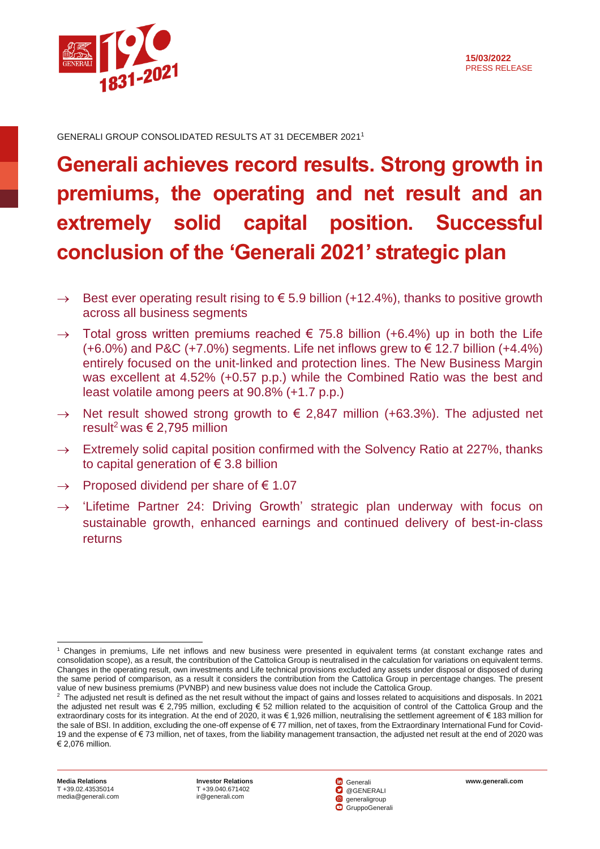

GENERALI GROUP CONSOLIDATED RESULTS AT 31 DECEMBER 2021 1

# **Generali achieves record results. Strong growth in premiums, the operating and net result and an extremely solid capital position. Successful conclusion of the 'Generali 2021' strategic plan**

- $\rightarrow$  Best ever operating result rising to  $\epsilon$  5.9 billion (+12.4%), thanks to positive growth across all business segments
- $\rightarrow$  Total gross written premiums reached  $\epsilon$  75.8 billion (+6.4%) up in both the Life  $(+6.0\%)$  and P&C  $(+7.0\%)$  segments. Life net inflows grew to  $\in$  12.7 billion  $(+4.4\%)$ entirely focused on the unit-linked and protection lines. The New Business Margin was excellent at 4.52% (+0.57 p.p.) while the Combined Ratio was the best and least volatile among peers at 90.8% (+1.7 p.p.)
- $\rightarrow$  Net result showed strong growth to  $\epsilon$  2,847 million (+63.3%). The adjusted net result<sup>2</sup> was  $\epsilon$  2,795 million
- $\rightarrow$  Extremely solid capital position confirmed with the Solvency Ratio at 227%, thanks to capital generation of  $\epsilon$  3.8 billion
- $\rightarrow$  Proposed dividend per share of  $\epsilon$  1.07
- $\rightarrow$  'Lifetime Partner 24: Driving Growth' strategic plan underway with focus on sustainable growth, enhanced earnings and continued delivery of best-in-class returns



<sup>1</sup> Changes in premiums, Life net inflows and new business were presented in equivalent terms (at constant exchange rates and consolidation scope), as a result, the contribution of the Cattolica Group is neutralised in the calculation for variations on equivalent terms. Changes in the operating result, own investments and Life technical provisions excluded any assets under disposal or disposed of during the same period of comparison, as a result it considers the contribution from the Cattolica Group in percentage changes. The present value of new business premiums (PVNBP) and new business value does not include the Cattolica Group.

 $^2$  The adjusted net result is defined as the net result without the impact of gains and losses related to acquisitions and disposals. In 2021 the adjusted net result was € 2,795 million, excluding € 52 million related to the acquisition of control of the Cattolica Group and the extraordinary costs for its integration. At the end of 2020, it was € 1,926 million, neutralising the settlement agreement of € 183 million for the sale of BSI. In addition, excluding the one-off expense of € 77 million, net of taxes, from the Extraordinary International Fund for Covid-19 and the expense of € 73 million, net of taxes, from the liability management transaction, the adjusted net result at the end of 2020 was € 2,076 million.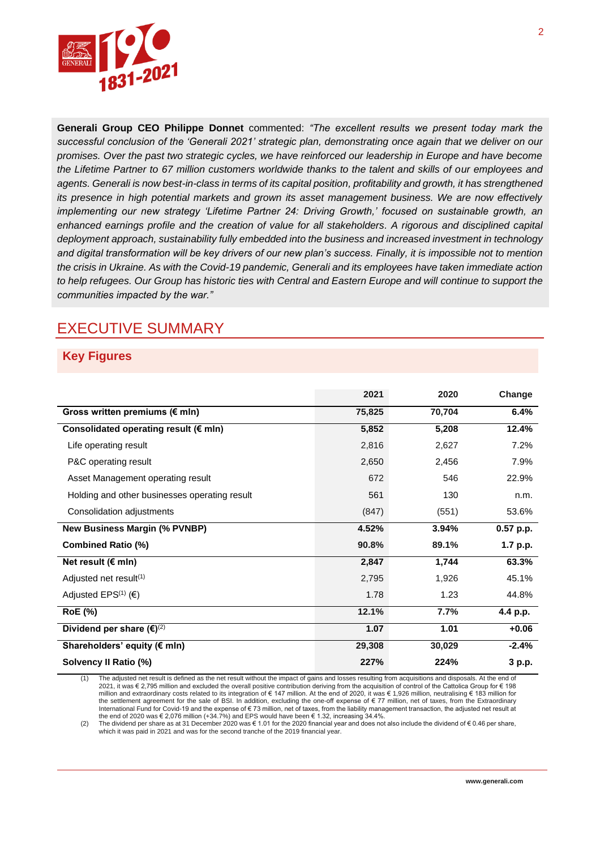

**Generali Group CEO Philippe Donnet** commented: *"The excellent results we present today mark the successful conclusion of the 'Generali 2021' strategic plan, demonstrating once again that we deliver on our promises. Over the past two strategic cycles, we have reinforced our leadership in Europe and have become the Lifetime Partner to 67 million customers worldwide thanks to the talent and skills of our employees and agents. Generali is now best-in-class in terms of its capital position, profitability and growth, it has strengthened its presence in high potential markets and grown its asset management business. We are now effectively implementing our new strategy 'Lifetime Partner 24: Driving Growth,' focused on sustainable growth, an enhanced earnings profile and the creation of value for all stakeholders. A rigorous and disciplined capital deployment approach, sustainability fully embedded into the business and increased investment in technology and digital transformation will be key drivers of our new plan's success. Finally, it is impossible not to mention the crisis in Ukraine. As with the Covid-19 pandemic, Generali and its employees have taken immediate action to help refugees. Our Group has historic ties with Central and Eastern Europe and will continue to support the communities impacted by the war."*

# EXECUTIVE SUMMARY

#### **Key Figures**

|                                                 | 2021   | 2020   | Change      |
|-------------------------------------------------|--------|--------|-------------|
| Gross written premiums (€ mln)                  | 75,825 | 70,704 | 6.4%        |
| Consolidated operating result ( $\epsilon$ mln) | 5,852  | 5,208  | 12.4%       |
| Life operating result                           | 2,816  | 2,627  | 7.2%        |
| P&C operating result                            | 2,650  | 2,456  | 7.9%        |
| Asset Management operating result               | 672    | 546    | 22.9%       |
| Holding and other businesses operating result   | 561    | 130    | n.m.        |
| Consolidation adjustments                       | (847)  | (551)  | 53.6%       |
| <b>New Business Margin (% PVNBP)</b>            | 4.52%  | 3.94%  | $0.57$ p.p. |
| <b>Combined Ratio (%)</b>                       | 90.8%  | 89.1%  | 1.7 p.p.    |
| Net result ( $\notin$ mln)                      | 2,847  | 1,744  | 63.3%       |
| Adjusted net result <sup>(1)</sup>              | 2,795  | 1,926  | 45.1%       |
| Adjusted EPS <sup>(1)</sup> ( $\epsilon$ )      | 1.78   | 1.23   | 44.8%       |
| <b>RoE</b> (%)                                  | 12.1%  | 7.7%   | 4.4 p.p.    |
| Dividend per share $(\epsilon)^{(2)}$           | 1.07   | 1.01   | $+0.06$     |
| Shareholders' equity (€ mln)                    | 29,308 | 30,029 | $-2.4%$     |
| Solvency II Ratio (%)                           | 227%   | 224%   | 3 p.p.      |

The adjusted net result is defined as the net result without the impact of gains and losses resulting from acquisitions and disposals. At the end of 2021, it was € 2,795 million and excluded the overall positive contribution deriving from the acquisition of control of the Cattolica Group for € 198 million and extraordinary costs related to its integration of € 147 million. At the end of 2020, it was € 1,926 million, neutralising € 183 million for the settlement agreement for the sale of BSI. In addition, excluding the one-off expense of € 77 million, net of taxes, from the Extraordinary International Fund for Covid-19 and the expense of € 73 million, net of taxes, from the liability management transaction, the adjusted net result at the end of 2020 was  $\in$  2,076 million (+34.7%) and EPS would have been  $\in$  1.32, increasing 34.4%.

(2) The dividend per share as at 31 December 2020 was € 1.01 for the 2020 financial year and does not also include the dividend of € 0.46 per share, which it was paid in 2021 and was for the second tranche of the 2019 financial year.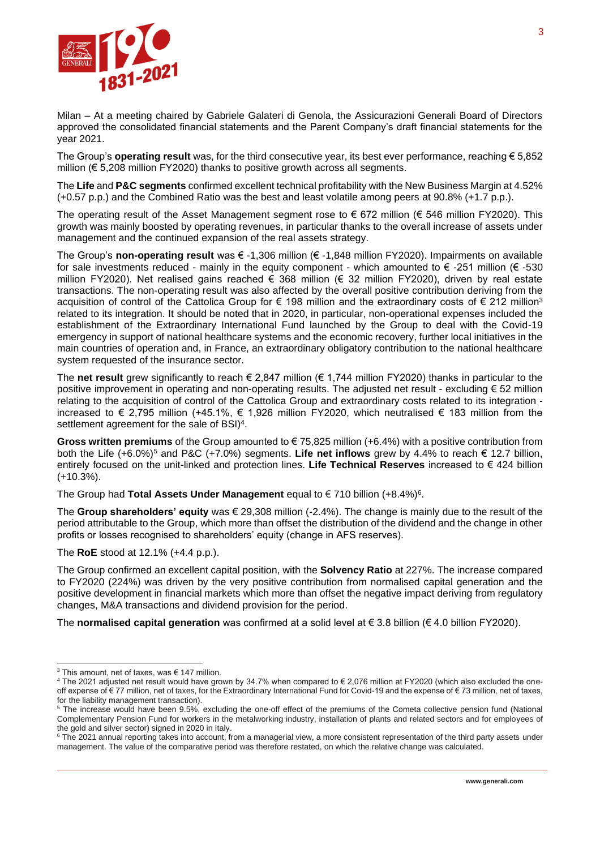

Milan – At a meeting chaired by Gabriele Galateri di Genola, the Assicurazioni Generali Board of Directors approved the consolidated financial statements and the Parent Company's draft financial statements for the year 2021.

The Group's **operating result** was, for the third consecutive year, its best ever performance, reaching € 5,852 million ( $\epsilon$  5.208 million FY2020) thanks to positive growth across all segments.

The **Life** and **P&C segments** confirmed excellent technical profitability with the New Business Margin at 4.52% (+0.57 p.p.) and the Combined Ratio was the best and least volatile among peers at 90.8% (+1.7 p.p.).

The operating result of the Asset Management segment rose to  $\epsilon$  672 million ( $\epsilon$  546 million FY2020). This growth was mainly boosted by operating revenues, in particular thanks to the overall increase of assets under management and the continued expansion of the real assets strategy.

The Group's **non-operating result** was € -1,306 million (€ -1,848 million FY2020). Impairments on available for sale investments reduced - mainly in the equity component - which amounted to  $\epsilon$  -251 million ( $\epsilon$  -530 million FY2020). Net realised gains reached € 368 million (€ 32 million FY2020), driven by real estate transactions. The non-operating result was also affected by the overall positive contribution deriving from the acquisition of control of the Cattolica Group for € 198 million and the extraordinary costs of € 212 million<sup>3</sup> related to its integration. It should be noted that in 2020, in particular, non-operational expenses included the establishment of the Extraordinary International Fund launched by the Group to deal with the Covid-19 emergency in support of national healthcare systems and the economic recovery, further local initiatives in the main countries of operation and, in France, an extraordinary obligatory contribution to the national healthcare system requested of the insurance sector.

The **net result** grew significantly to reach € 2,847 million (€ 1,744 million FY2020) thanks in particular to the positive improvement in operating and non-operating results. The adjusted net result - excluding € 52 million relating to the acquisition of control of the Cattolica Group and extraordinary costs related to its integration increased to € 2,795 million (+45.1%, € 1,926 million FY2020, which neutralised € 183 million from the settlement agreement for the sale of BSI) $4$ .

**Gross written premiums** of the Group amounted to € 75,825 million (+6.4%) with a positive contribution from both the Life (+6.0%)<sup>5</sup> and P&C (+7.0%) segments. **Life net inflows** grew by 4.4% to reach € 12.7 billion, entirely focused on the unit-linked and protection lines. **Life Technical Reserves** increased to € 424 billion (+10.3%).

The Group had Total Assets Under Management equal to € 710 billion (+8.4%)<sup>6</sup>.

The **Group shareholders' equity** was € 29,308 million (-2.4%). The change is mainly due to the result of the period attributable to the Group, which more than offset the distribution of the dividend and the change in other profits or losses recognised to shareholders' equity (change in AFS reserves).

The **RoE** stood at 12.1% (+4.4 p.p.).

The Group confirmed an excellent capital position, with the **Solvency Ratio** at 227%. The increase compared to FY2020 (224%) was driven by the very positive contribution from normalised capital generation and the positive development in financial markets which more than offset the negative impact deriving from regulatory changes, M&A transactions and dividend provision for the period.

The **normalised capital generation** was confirmed at a solid level at € 3.8 billion (€ 4.0 billion FY2020).

<sup>&</sup>lt;sup>3</sup> This amount, net of taxes, was € 147 million.

<sup>4</sup> The 2021 adjusted net result would have grown by 34.7% when compared to € 2,076 million at FY2020 (which also excluded the oneoff expense of € 77 million, net of taxes, for the Extraordinary International Fund for Covid-19 and the expense of € 73 million, net of taxes, for the liability management transaction).

<sup>5</sup> The increase would have been 9.5%, excluding the one-off effect of the premiums of the Cometa collective pension fund (National Complementary Pension Fund for workers in the metalworking industry, installation of plants and related sectors and for employees of the gold and silver sector) signed in 2020 in Italy.

<sup>&</sup>lt;sup>6</sup> The 2021 annual reporting takes into account, from a managerial view, a more consistent representation of the third party assets under management. The value of the comparative period was therefore restated, on which the relative change was calculated.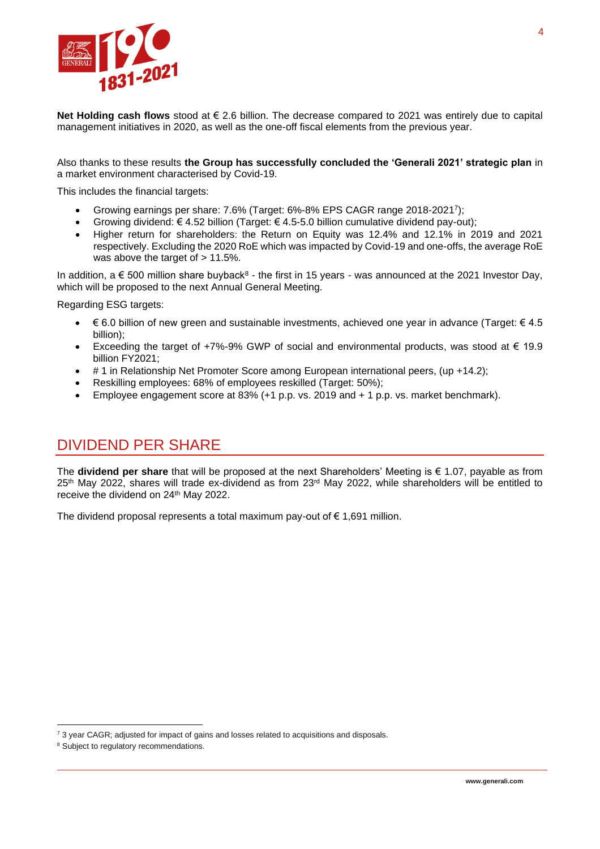

**Net Holding cash flows** stood at € 2.6 billion. The decrease compared to 2021 was entirely due to capital management initiatives in 2020, as well as the one-off fiscal elements from the previous year.

Also thanks to these results **the Group has successfully concluded the 'Generali 2021' strategic plan** in a market environment characterised by Covid-19.

This includes the financial targets:

- Growing earnings per share: 7.6% (Target: 6%-8% EPS CAGR range 2018-2021 7 );
- Growing dividend: € 4.52 billion (Target: € 4.5-5.0 billion cumulative dividend pay-out);
- Higher return for shareholders: the Return on Equity was 12.4% and 12.1% in 2019 and 2021 respectively. Excluding the 2020 RoE which was impacted by Covid-19 and one-offs, the average RoE was above the target of  $> 11.5\%$ .

In addition, a  $\epsilon$  500 million share buyback<sup>8</sup> - the first in 15 years - was announced at the 2021 Investor Day, which will be proposed to the next Annual General Meeting.

Regarding ESG targets:

- $\epsilon$  6.0 billion of new green and sustainable investments, achieved one year in advance (Target:  $\epsilon$  4.5 billion);
- Exceeding the target of +7%-9% GWP of social and environmental products, was stood at € 19.9 billion FY2021;
- # 1 in Relationship Net Promoter Score among European international peers, (up +14.2);
- Reskilling employees: 68% of employees reskilled (Target: 50%);
- Employee engagement score at 83% (+1 p.p. vs. 2019 and + 1 p.p. vs. market benchmark).

### DIVIDEND PER SHARE

The **dividend per share** that will be proposed at the next Shareholders' Meeting is € 1.07, payable as from 25<sup>th</sup> May 2022, shares will trade ex-dividend as from 23<sup>rd</sup> May 2022, while shareholders will be entitled to receive the dividend on 24<sup>th</sup> May 2022.

The dividend proposal represents a total maximum pay-out of  $\epsilon$  1,691 million.

 $73$  year CAGR; adjusted for impact of gains and losses related to acquisitions and disposals.

<sup>8</sup> Subject to regulatory recommendations.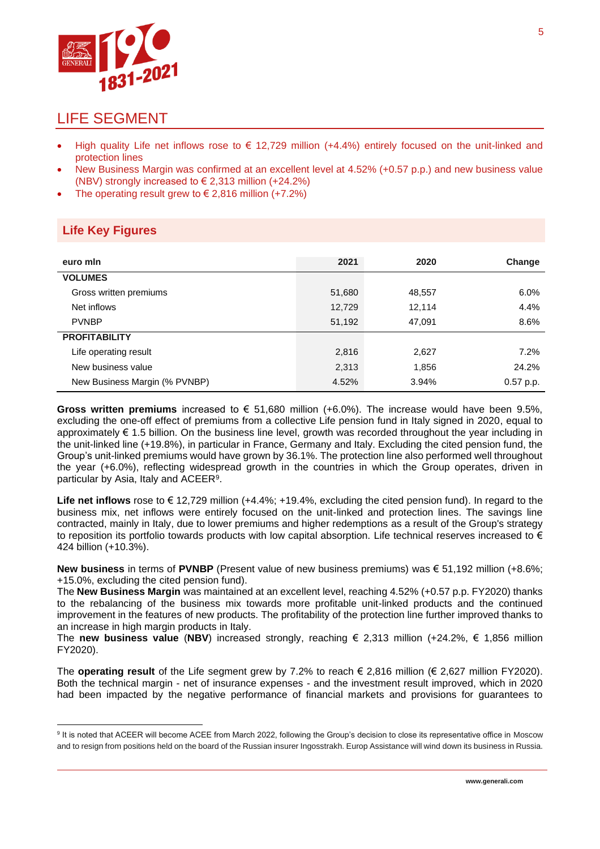

### LIFE SEGMENT

- High quality Life net inflows rose to  $\epsilon$  12,729 million (+4.4%) entirely focused on the unit-linked and protection lines
- New Business Margin was confirmed at an excellent level at 4.52% (+0.57 p.p.) and new business value (NBV) strongly increased to  $\in$  2,313 million (+24.2%)
- The operating result grew to  $\in$  2,816 million (+7.2%)

#### **Life Key Figures**

| euro min                      | 2021   | 2020   | Change    |
|-------------------------------|--------|--------|-----------|
| <b>VOLUMES</b>                |        |        |           |
| Gross written premiums        | 51,680 | 48,557 | 6.0%      |
| Net inflows                   | 12,729 | 12,114 | 4.4%      |
| <b>PVNBP</b>                  | 51,192 | 47,091 | 8.6%      |
| <b>PROFITABILITY</b>          |        |        |           |
| Life operating result         | 2,816  | 2,627  | 7.2%      |
| New business value            | 2,313  | 1,856  | 24.2%     |
| New Business Margin (% PVNBP) | 4.52%  | 3.94%  | 0.57 p.p. |

**Gross written premiums** increased to € 51,680 million (+6.0%). The increase would have been 9.5%, excluding the one-off effect of premiums from a collective Life pension fund in Italy signed in 2020, equal to approximately € 1.5 billion. On the business line level, growth was recorded throughout the year including in the unit-linked line (+19.8%), in particular in France, Germany and Italy. Excluding the cited pension fund, the Group's unit-linked premiums would have grown by 36.1%. The protection line also performed well throughout the year (+6.0%), reflecting widespread growth in the countries in which the Group operates, driven in particular by Asia, Italy and ACEER<sup>9</sup> .

**Life net inflows** rose to € 12,729 million (+4.4%; +19.4%, excluding the cited pension fund). In regard to the business mix, net inflows were entirely focused on the unit-linked and protection lines. The savings line contracted, mainly in Italy, due to lower premiums and higher redemptions as a result of the Group's strategy to reposition its portfolio towards products with low capital absorption. Life technical reserves increased to  $\epsilon$ 424 billion (+10.3%).

**New business** in terms of **PVNBP** (Present value of new business premiums) was € 51,192 million (+8.6%; +15.0%, excluding the cited pension fund).

The **New Business Margin** was maintained at an excellent level, reaching 4.52% (+0.57 p.p. FY2020) thanks to the rebalancing of the business mix towards more profitable unit-linked products and the continued improvement in the features of new products. The profitability of the protection line further improved thanks to an increase in high margin products in Italy.

The **new business value** (**NBV**) increased strongly, reaching € 2,313 million (+24.2%, € 1,856 million FY2020).

The **operating result** of the Life segment grew by 7.2% to reach € 2,816 million (€ 2,627 million FY2020). Both the technical margin - net of insurance expenses - and the investment result improved, which in 2020 had been impacted by the negative performance of financial markets and provisions for guarantees to

<sup>&</sup>lt;sup>9</sup> It is noted that ACEER will become ACEE from March 2022, following the Group's decision to close its representative office in Moscow and to resign from positions held on the board of the Russian insurer Ingosstrakh. Europ Assistance will wind down its business in Russia.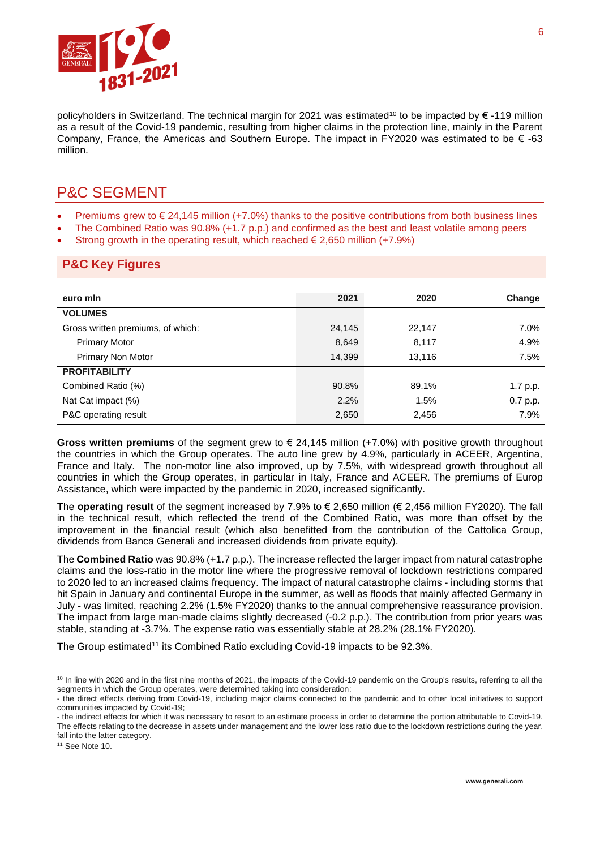

policyholders in Switzerland. The technical margin for 2021 was estimated<sup>10</sup> to be impacted by € -119 million as a result of the Covid-19 pandemic, resulting from higher claims in the protection line, mainly in the Parent Company, France, the Americas and Southern Europe. The impact in FY2020 was estimated to be  $\epsilon$  -63 million.

### P&C SEGMENT

- Premiums grew to  $\epsilon$  24,145 million (+7.0%) thanks to the positive contributions from both business lines
- The Combined Ratio was 90.8% (+1.7 p.p.) and confirmed as the best and least volatile among peers
- Strong growth in the operating result, which reached  $\epsilon$  2,650 million (+7.9%)

#### **P&C Key Figures**

| euro min                          | 2021   | 2020   | Change   |
|-----------------------------------|--------|--------|----------|
| <b>VOLUMES</b>                    |        |        |          |
| Gross written premiums, of which: | 24,145 | 22,147 | 7.0%     |
| <b>Primary Motor</b>              | 8,649  | 8,117  | 4.9%     |
| Primary Non Motor                 | 14,399 | 13,116 | 7.5%     |
| <b>PROFITABILITY</b>              |        |        |          |
| Combined Ratio (%)                | 90.8%  | 89.1%  | 1.7 p.p. |
| Nat Cat impact (%)                | 2.2%   | 1.5%   | 0.7 p.p. |
| P&C operating result              | 2,650  | 2,456  | 7.9%     |

**Gross written premiums** of the segment grew to € 24,145 million (+7.0%) with positive growth throughout the countries in which the Group operates. The auto line grew by 4.9%, particularly in ACEER, Argentina, France and Italy. The non-motor line also improved, up by 7.5%, with widespread growth throughout all countries in which the Group operates, in particular in Italy, France and ACEER. The premiums of Europ Assistance, which were impacted by the pandemic in 2020, increased significantly.

The **operating result** of the segment increased by 7.9% to € 2,650 million (€ 2,456 million FY2020). The fall in the technical result, which reflected the trend of the Combined Ratio, was more than offset by the improvement in the financial result (which also benefitted from the contribution of the Cattolica Group, dividends from Banca Generali and increased dividends from private equity).

The **Combined Ratio** was 90.8% (+1.7 p.p.). The increase reflected the larger impact from natural catastrophe claims and the loss-ratio in the motor line where the progressive removal of lockdown restrictions compared to 2020 led to an increased claims frequency. The impact of natural catastrophe claims - including storms that hit Spain in January and continental Europe in the summer, as well as floods that mainly affected Germany in July - was limited, reaching 2.2% (1.5% FY2020) thanks to the annual comprehensive reassurance provision. The impact from large man-made claims slightly decreased (-0.2 p.p.). The contribution from prior years was stable, standing at -3.7%. The expense ratio was essentially stable at 28.2% (28.1% FY2020).

The Group estimated<sup>11</sup> its Combined Ratio excluding Covid-19 impacts to be 92.3%.

<sup>&</sup>lt;sup>10</sup> In line with 2020 and in the first nine months of 2021, the impacts of the Covid-19 pandemic on the Group's results, referring to all the segments in which the Group operates, were determined taking into consideration:

<sup>-</sup> the direct effects deriving from Covid-19, including major claims connected to the pandemic and to other local initiatives to support communities impacted by Covid-19;

<sup>-</sup> the indirect effects for which it was necessary to resort to an estimate process in order to determine the portion attributable to Covid-19. The effects relating to the decrease in assets under management and the lower loss ratio due to the lockdown restrictions during the year, fall into the latter category.

<sup>&</sup>lt;sup>11</sup> See Note 10.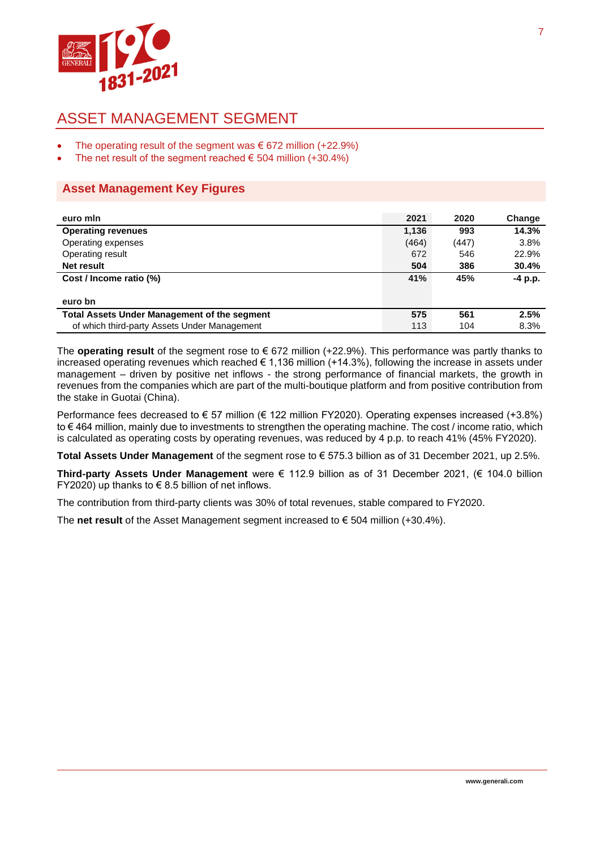

# ASSET MANAGEMENT SEGMENT

- The operating result of the segment was  $\epsilon$  672 million (+22.9%)
- The net result of the segment reached  $\epsilon$  504 million (+30.4%)

#### **Asset Management Key Figures**

| euro min                                            | 2021  | 2020  | Change  |
|-----------------------------------------------------|-------|-------|---------|
| <b>Operating revenues</b>                           | 1,136 | 993   | 14.3%   |
| Operating expenses                                  | (464) | (447) | 3.8%    |
| Operating result                                    | 672   | 546   | 22.9%   |
| Net result                                          | 504   | 386   | 30.4%   |
| Cost / Income ratio (%)                             | 41%   | 45%   | -4 p.p. |
|                                                     |       |       |         |
| euro bn                                             |       |       |         |
| <b>Total Assets Under Management of the segment</b> | 575   | 561   | 2.5%    |
| of which third-party Assets Under Management        | 113   | 104   | 8.3%    |

The **operating result** of the segment rose to € 672 million (+22.9%). This performance was partly thanks to increased operating revenues which reached  $\epsilon$  1,136 million (+14.3%), following the increase in assets under management – driven by positive net inflows - the strong performance of financial markets, the growth in revenues from the companies which are part of the multi-boutique platform and from positive contribution from the stake in Guotai (China).

Performance fees decreased to € 57 million (€ 122 million FY2020). Operating expenses increased (+3.8%) to € 464 million, mainly due to investments to strengthen the operating machine. The cost / income ratio, which is calculated as operating costs by operating revenues, was reduced by 4 p.p. to reach 41% (45% FY2020).

**Total Assets Under Management** of the segment rose to € 575.3 billion as of 31 December 2021, up 2.5%.

**Third-party Assets Under Management** were € 112.9 billion as of 31 December 2021, (€ 104.0 billion FY2020) up thanks to  $\in$  8.5 billion of net inflows.

The contribution from third-party clients was 30% of total revenues, stable compared to FY2020.

The **net result** of the Asset Management segment increased to  $\epsilon$  504 million (+30.4%).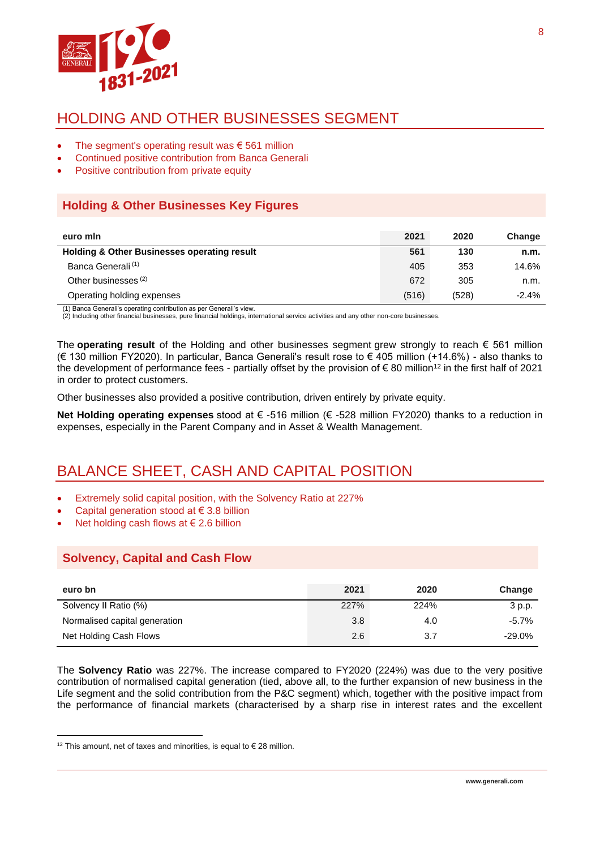

# HOLDING AND OTHER BUSINESSES SEGMENT

- The segment's operating result was  $\epsilon$  561 million
- Continued positive contribution from Banca Generali
- Positive contribution from private equity

#### **Holding & Other Businesses Key Figures**

| euro min                                               | 2021  | 2020  | Change  |
|--------------------------------------------------------|-------|-------|---------|
| <b>Holding &amp; Other Businesses operating result</b> | 561   | 130   | n.m.    |
| Banca Generali <sup>(1)</sup>                          | 405   | 353   | 14.6%   |
| Other businesses <sup>(2)</sup>                        | 672   | 305   | n.m.    |
| Operating holding expenses                             | (516) | (528) | $-2.4%$ |

(1) Banca Generali's operating contribution as per Generali's view.

(2) Including other financial businesses, pure financial holdings, international service activities and any other non-core businesses.

The **operating result** of the Holding and other businesses segment grew strongly to reach € 561 million (€ 130 million FY2020). In particular, Banca Generali's result rose to € 405 million (+14.6%) - also thanks to the development of performance fees - partially offset by the provision of  $\epsilon$  80 million<sup>12</sup> in the first half of 2021 in order to protect customers.

Other businesses also provided a positive contribution, driven entirely by private equity.

**Net Holding operating expenses** stood at € -516 million (€ -528 million FY2020) thanks to a reduction in expenses, especially in the Parent Company and in Asset & Wealth Management.

# BALANCE SHEET, CASH AND CAPITAL POSITION

- Extremely solid capital position, with the Solvency Ratio at 227%
- Capital generation stood at  $\in$  3.8 billion
- Net holding cash flows at  $\in$  2.6 billion

#### **Solvency, Capital and Cash Flow**

| euro bn                       | 2021 | 2020 | Change    |
|-------------------------------|------|------|-----------|
| Solvency II Ratio (%)         | 227% | 224% | 3 p.p.    |
| Normalised capital generation | 3.8  | 4.0  | $-5.7%$   |
| Net Holding Cash Flows        | 2.6  | 3.7  | $-29.0\%$ |

The **Solvency Ratio** was 227%. The increase compared to FY2020 (224%) was due to the very positive contribution of normalised capital generation (tied, above all, to the further expansion of new business in the Life segment and the solid contribution from the P&C segment) which, together with the positive impact from the performance of financial markets (characterised by a sharp rise in interest rates and the excellent

<sup>&</sup>lt;sup>12</sup> This amount, net of taxes and minorities, is equal to € 28 million.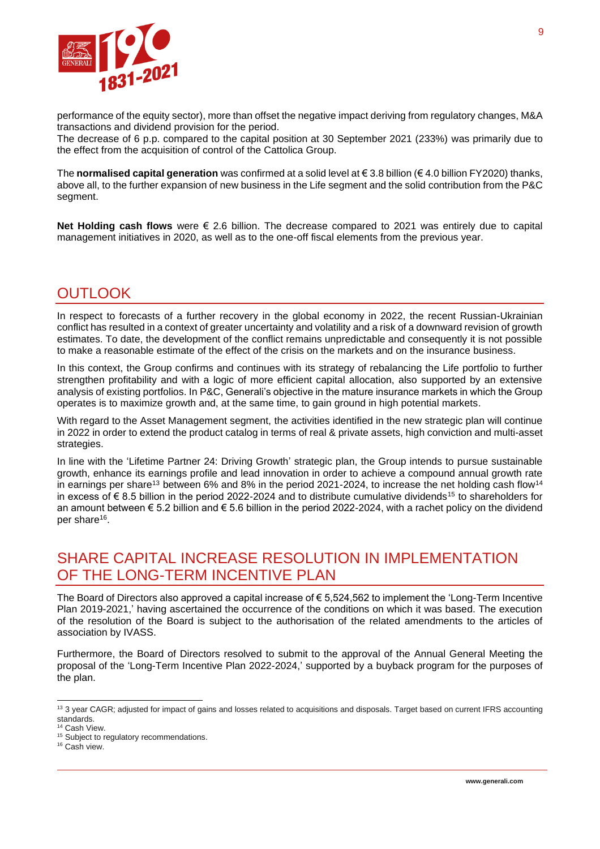

performance of the equity sector), more than offset the negative impact deriving from regulatory changes, M&A transactions and dividend provision for the period.

The decrease of 6 p.p. compared to the capital position at 30 September 2021 (233%) was primarily due to the effect from the acquisition of control of the Cattolica Group.

The **normalised capital generation** was confirmed at a solid level at € 3.8 billion (€ 4.0 billion FY2020) thanks, above all, to the further expansion of new business in the Life segment and the solid contribution from the P&C segment.

**Net Holding cash flows** were € 2.6 billion. The decrease compared to 2021 was entirely due to capital management initiatives in 2020, as well as to the one-off fiscal elements from the previous year.

# **OUTLOOK**

In respect to forecasts of a further recovery in the global economy in 2022, the recent Russian-Ukrainian conflict has resulted in a context of greater uncertainty and volatility and a risk of a downward revision of growth estimates. To date, the development of the conflict remains unpredictable and consequently it is not possible to make a reasonable estimate of the effect of the crisis on the markets and on the insurance business.

In this context, the Group confirms and continues with its strategy of rebalancing the Life portfolio to further strengthen profitability and with a logic of more efficient capital allocation, also supported by an extensive analysis of existing portfolios. In P&C, Generali's objective in the mature insurance markets in which the Group operates is to maximize growth and, at the same time, to gain ground in high potential markets.

With regard to the Asset Management segment, the activities identified in the new strategic plan will continue in 2022 in order to extend the product catalog in terms of real & private assets, high conviction and multi-asset strategies.

In line with the 'Lifetime Partner 24: Driving Growth' strategic plan, the Group intends to pursue sustainable growth, enhance its earnings profile and lead innovation in order to achieve a compound annual growth rate in earnings per share<sup>13</sup> between 6% and 8% in the period 2021-2024, to increase the net holding cash flow<sup>14</sup> in excess of € 8.5 billion in the period 2022-2024 and to distribute cumulative dividends<sup>15</sup> to shareholders for an amount between  $\epsilon$  5.2 billion and  $\epsilon$  5.6 billion in the period 2022-2024, with a rachet policy on the dividend per share<sup>16</sup>.

# SHARE CAPITAL INCREASE RESOLUTION IN IMPLEMENTATION OF THE LONG-TERM INCENTIVE PLAN

The Board of Directors also approved a capital increase of € 5,524,562 to implement the 'Long-Term Incentive Plan 2019-2021,' having ascertained the occurrence of the conditions on which it was based. The execution of the resolution of the Board is subject to the authorisation of the related amendments to the articles of association by IVASS.

Furthermore, the Board of Directors resolved to submit to the approval of the Annual General Meeting the proposal of the 'Long-Term Incentive Plan 2022-2024,' supported by a buyback program for the purposes of the plan.

<sup>13 3</sup> year CAGR; adjusted for impact of gains and losses related to acquisitions and disposals. Target based on current IFRS accounting standards.

<sup>14</sup> Cash View.

<sup>&</sup>lt;sup>15</sup> Subject to regulatory recommendations.

<sup>&</sup>lt;sup>16</sup> Cash view.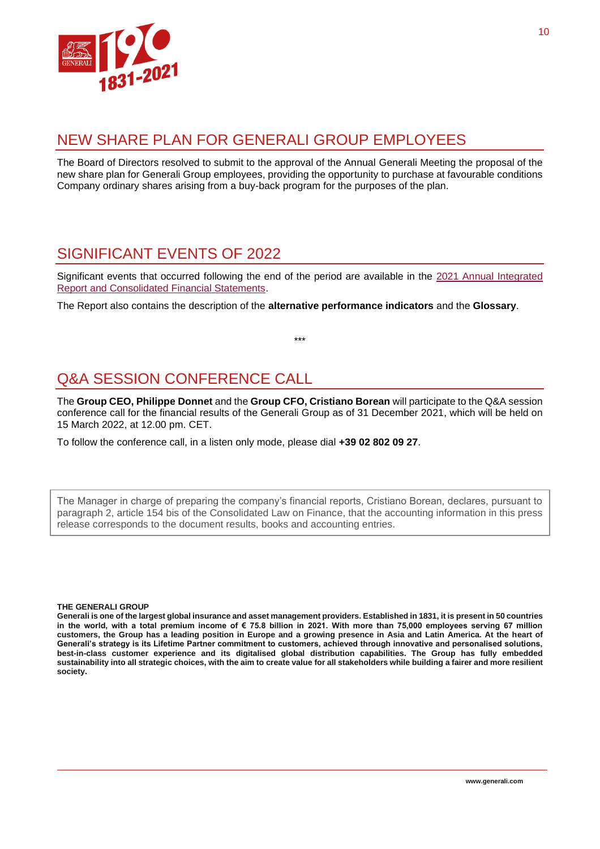

### NEW SHARE PLAN FOR GENERALI GROUP EMPLOYEES

The Board of Directors resolved to submit to the approval of the Annual Generali Meeting the proposal of the new share plan for Generali Group employees, providing the opportunity to purchase at favourable conditions Company ordinary shares arising from a buy-back program for the purposes of the plan.

# SIGNIFICANT EVENTS OF 2022

Significant events that occurred following the end of the period are available in the 2021 Annual [Integrated](https://www.generali.com/it/info/download-center/results)  [Report and Consolidated Financial Statements.](https://www.generali.com/it/info/download-center/results)

The Report also contains the description of the **alternative performance indicators** and the **Glossary**.

\*\*\*

# Q&A SESSION CONFERENCE CALL

The **Group CEO, Philippe Donnet** and the **Group CFO, Cristiano Borean** will participate to the Q&A session conference call for the financial results of the Generali Group as of 31 December 2021, which will be held on 15 March 2022, at 12.00 pm. CET.

To follow the conference call, in a listen only mode, please dial **+39 02 802 09 27**.

The Manager in charge of preparing the company's financial reports, Cristiano Borean, declares, pursuant to paragraph 2, article 154 bis of the Consolidated Law on Finance, that the accounting information in this press release corresponds to the document results, books and accounting entries.

#### **THE GENERALI GROUP**

**Generali is one of the largest global insurance and asset management providers. Established in 1831, it is present in 50 countries in the world, with a total premium income of € 75.8 billion in 2021. With more than 75,000 employees serving 67 million customers, the Group has a leading position in Europe and a growing presence in Asia and Latin America. At the heart of Generali's strategy is its Lifetime Partner commitment to customers, achieved through innovative and personalised solutions, best-in-class customer experience and its digitalised global distribution capabilities. The Group has fully embedded sustainability into all strategic choices, with the aim to create value for all stakeholders while building a fairer and more resilient society.**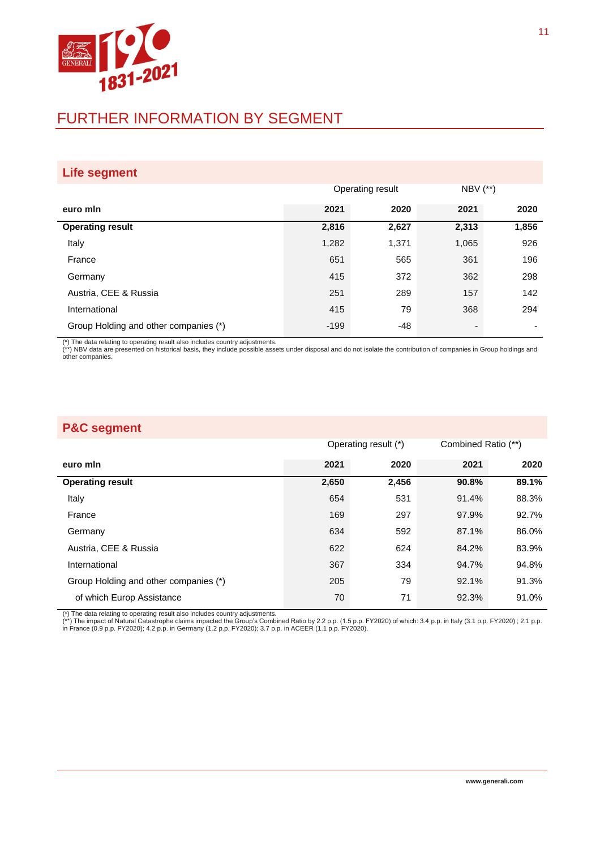

# FURTHER INFORMATION BY SEGMENT

| <b>Life segment</b>                   |                  |       |              |       |
|---------------------------------------|------------------|-------|--------------|-------|
|                                       | Operating result |       | $NBV$ $(**)$ |       |
| euro min                              | 2021             | 2020  | 2021         | 2020  |
| <b>Operating result</b>               | 2,816            | 2,627 | 2,313        | 1,856 |
| Italy                                 | 1,282            | 1,371 | 1,065        | 926   |
| France                                | 651              | 565   | 361          | 196   |
| Germany                               | 415              | 372   | 362          | 298   |
| Austria, CEE & Russia                 | 251              | 289   | 157          | 142   |
| International                         | 415              | 79    | 368          | 294   |
| Group Holding and other companies (*) | $-199$           | -48   | ٠            | -     |

(\*) The data relating to operating result also includes country adjustments.<br>(\*\*) NBV data are presented on historical basis, they include possible assets under disposal and do not isolate the contribution of companies in other companies.

#### **P&C segment**

|                                       | Operating result (*) |       | Combined Ratio (**) |       |
|---------------------------------------|----------------------|-------|---------------------|-------|
| euro min                              | 2021                 | 2020  | 2021                | 2020  |
| <b>Operating result</b>               | 2,650                | 2,456 | 90.8%               | 89.1% |
| Italy                                 | 654                  | 531   | 91.4%               | 88.3% |
| France                                | 169                  | 297   | 97.9%               | 92.7% |
| Germany                               | 634                  | 592   | 87.1%               | 86.0% |
| Austria, CEE & Russia                 | 622                  | 624   | 84.2%               | 83.9% |
| International                         | 367                  | 334   | 94.7%               | 94.8% |
| Group Holding and other companies (*) | 205                  | 79    | 92.1%               | 91.3% |
| of which Europ Assistance             | 70                   | 71    | 92.3%               | 91.0% |

(\*) The data relating to operating result also includes country adjustments.<br>(\*\*) The impact of Natural Catastrophe claims impacted the Group's Combined Ratio by 2.2 p.p. (1.5 p.p. FY2020) of which: 3.4 p.p. in Italy (3.1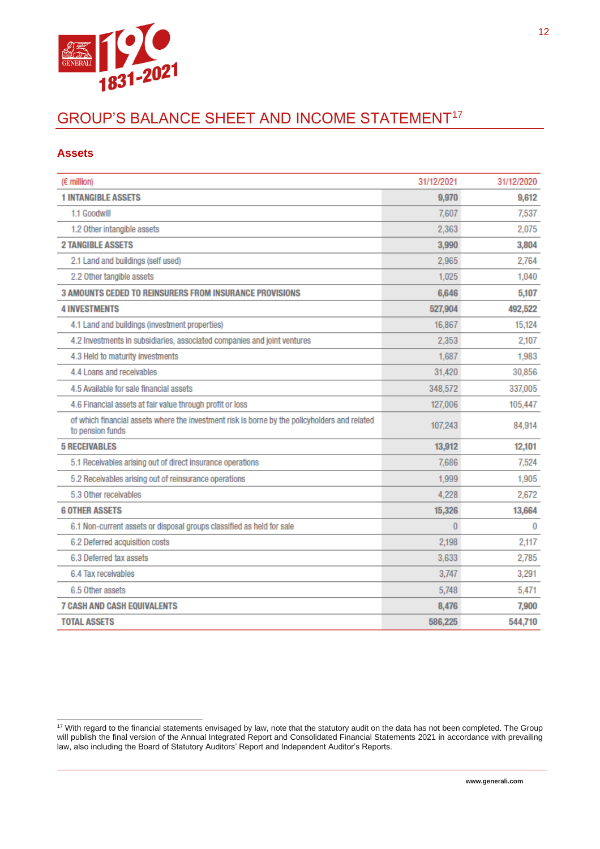

# GROUP'S BALANCE SHEET AND INCOME STATEMENT<sup>17</sup>

#### **Assets**

| (€ million)                                                                                                       | 31/12/2021 | 31/12/2020 |
|-------------------------------------------------------------------------------------------------------------------|------------|------------|
| <b>1 INTANGIBLE ASSETS</b>                                                                                        | 9,970      | 9,612      |
| 1.1 Goodwill                                                                                                      | 7.607      | 7,537      |
| 1.2 Other intangible assets                                                                                       | 2,363      | 2,075      |
| <b>2 TANGIBLE ASSETS</b>                                                                                          | 3,990      | 3,804      |
| 2.1 Land and buildings (self used)                                                                                | 2.965      | 2,764      |
| 2.2 Other tangible assets                                                                                         | 1.025      | 1,040      |
| <b>3 AMOUNTS CEDED TO REINSURERS FROM INSURANCE PROVISIONS</b>                                                    | 6,646      | 5,107      |
| <b>4 INVESTMENTS</b>                                                                                              | 527,904    | 492,522    |
| 4.1 Land and buildings (investment properties)                                                                    | 16,867     | 15,124     |
| 4.2 Investments in subsidiaries, associated companies and joint ventures                                          | 2,353      | 2,107      |
| 4.3 Held to maturity investments                                                                                  | 1.687      | 1,983      |
| 4.4 Loans and receivables                                                                                         | 31,420     | 30,856     |
| 4.5 Available for sale financial assets                                                                           | 348,572    | 337,005    |
| 4.6 Financial assets at fair value through profit or loss                                                         | 127,006    | 105,447    |
| of which financial assets where the investment risk is borne by the policyholders and related<br>to pension funds | 107,243    | 84,914     |
| <b>5 RECEIVABLES</b>                                                                                              | 13,912     | 12,101     |
| 5.1 Receivables arising out of direct insurance operations                                                        | 7,686      | 7,524      |
| 5.2 Receivables arising out of reinsurance operations                                                             | 1,999      | 1,905      |
| 5.3 Other receivables                                                                                             | 4,228      | 2,672      |
| <b>6 OTHER ASSETS</b>                                                                                             | 15,326     | 13,664     |
| 6.1 Non-current assets or disposal groups classified as held for sale                                             | 0          | 0          |
| 6.2 Deferred acquisition costs                                                                                    | 2,198      | 2,117      |
| 6.3 Deferred tax assets                                                                                           | 3,633      | 2,785      |
| 6.4 Tax receivables                                                                                               | 3,747      | 3,291      |
| 6.5 Other assets                                                                                                  | 5,748      | 5,471      |
| <b>7 CASH AND CASH EQUIVALENTS</b>                                                                                | 8.476      | 7,900      |
| <b>TOTAL ASSETS</b>                                                                                               | 586,225    | 544,710    |

 $17$  With regard to the financial statements envisaged by law, note that the statutory audit on the data has not been completed. The Group will publish the final version of the Annual Integrated Report and Consolidated Financial Statements 2021 in accordance with prevailing law, also including the Board of Statutory Auditors' Report and Independent Auditor's Reports.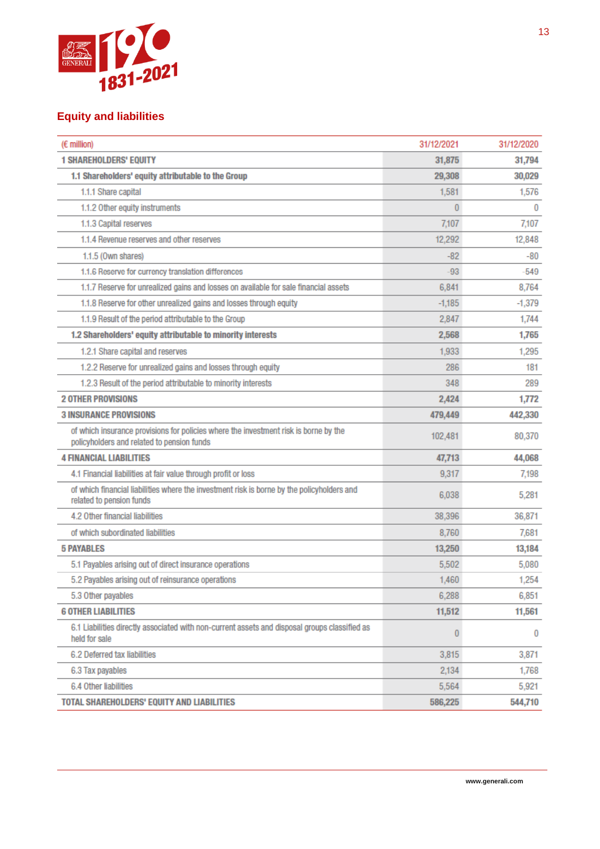

#### **Equity and liabilities**

| (€ million)                                                                                                                        | 31/12/2021 | 31/12/2020 |
|------------------------------------------------------------------------------------------------------------------------------------|------------|------------|
| <b>1 SHAREHOLDERS' EQUITY</b>                                                                                                      | 31,875     | 31,794     |
| 1.1 Shareholders' equity attributable to the Group                                                                                 | 29,308     | 30,029     |
| 1.1.1 Share capital                                                                                                                | 1,581      | 1,576      |
| 1.1.2 Other equity instruments                                                                                                     | 0          | $\bf{0}$   |
| 1.1.3 Capital reserves                                                                                                             | 7,107      | 7,107      |
| 1.1.4 Revenue reserves and other reserves                                                                                          | 12,292     | 12,848     |
| 1.1.5 (Own shares)                                                                                                                 | $-82$      | -80        |
| 1.1.6 Reserve for currency translation differences                                                                                 | $-93$      | $-549$     |
| 1.1.7 Reserve for unrealized gains and losses on available for sale financial assets                                               | 6,841      | 8,764      |
| 1.1.8 Reserve for other unrealized gains and losses through equity                                                                 | $-1,185$   | $-1,379$   |
| 1.1.9 Result of the period attributable to the Group                                                                               | 2,847      | 1,744      |
| 1.2 Shareholders' equity attributable to minority interests                                                                        | 2,568      | 1,765      |
| 1.2.1 Share capital and reserves                                                                                                   | 1,933      | 1,295      |
| 1.2.2 Reserve for unrealized gains and losses through equity                                                                       | 286        | 181        |
| 1.2.3 Result of the period attributable to minority interests                                                                      | 348        | 289        |
| <b>2 OTHER PROVISIONS</b>                                                                                                          | 2,424      | 1,772      |
| <b>3 INSURANCE PROVISIONS</b>                                                                                                      | 479,449    | 442,330    |
| of which insurance provisions for policies where the investment risk is borne by the<br>policyholders and related to pension funds | 102,481    | 80,370     |
| <b>4 FINANCIAL LIABILITIES</b>                                                                                                     | 47,713     | 44,068     |
| 4.1 Financial liabilities at fair value through profit or loss                                                                     | 9,317      | 7,198      |
| of which financial liabilities where the investment risk is borne by the policyholders and<br>related to pension funds             | 6,038      | 5,281      |
| 4.2 Other financial liabilities                                                                                                    | 38,396     | 36,871     |
| of which subordinated liabilities                                                                                                  | 8,760      | 7,681      |
| <b>5 PAYABLES</b>                                                                                                                  | 13,250     | 13,184     |
| 5.1 Payables arising out of direct insurance operations                                                                            | 5,502      | 5,080      |
| 5.2 Payables arising out of reinsurance operations                                                                                 | 1,460      | 1,254      |
| 5.3 Other payables                                                                                                                 | 6,288      | 6,851      |
| <b>6 OTHER LIABILITIES</b>                                                                                                         | 11,512     | 11,561     |
| 6.1 Liabilities directly associated with non-current assets and disposal groups classified as<br>held for sale                     | 0          | $\bf{0}$   |
| 6.2 Deferred tax liabilities                                                                                                       | 3,815      | 3,871      |
| 6.3 Tax payables                                                                                                                   | 2,134      | 1,768      |
| 6.4 Other liabilities                                                                                                              | 5,564      | 5,921      |
| TOTAL SHAREHOLDERS' EQUITY AND LIABILITIES                                                                                         | 586,225    | 544,710    |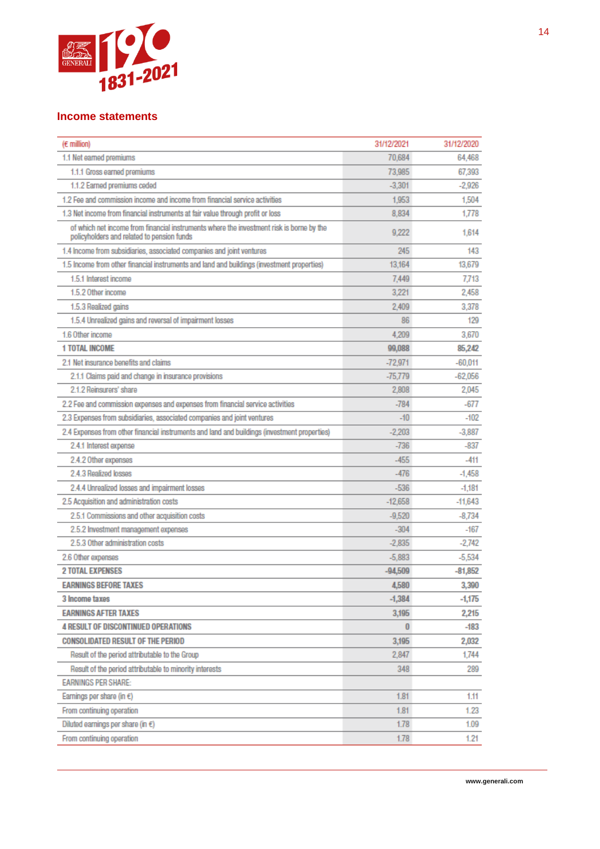

#### **Income statements**

| $(E$ million)                                                                                                                          | 31/12/2021 | 31/12/2020 |
|----------------------------------------------------------------------------------------------------------------------------------------|------------|------------|
| 1.1 Net earned premiums                                                                                                                | 70,684     | 64,468     |
| 1.1.1 Gross earned premiums                                                                                                            | 73,985     | 67,393     |
| 1.1.2 Earned premiums ceded                                                                                                            | $-3,301$   | $-2,926$   |
| 1.2 Fee and commission income and income from financial service activities                                                             | 1.953      | 1,504      |
| 1.3 Net income from financial instruments at fair value through profit or loss                                                         | 8.834      | 1.778      |
| of which net income from financial instruments where the investment risk is borne by the<br>policyholders and related to pension funds | 9.222      | 1.614      |
| 1.4 Income from subsidiaries, associated companies and joint ventures                                                                  | 245        | 143        |
| 1.5 Income from other financial instruments and land and buildings (investment properties)                                             | 13.164     | 13.679     |
| 1.5.1 Interest income                                                                                                                  | 7.449      | 7.713      |
| 1.5.2 Other income                                                                                                                     | 3,221      | 2,458      |
| 1.5.3 Realized gains                                                                                                                   | 2.409      | 3,378      |
| 1.5.4 Unrealized gains and reversal of impairment losses                                                                               | 86         | 129        |
| 1.6 Other income                                                                                                                       | 4.209      | 3,670      |
| <b>1 TOTAL INCOME</b>                                                                                                                  | 99,088     | 85,242     |
| 2.1 Net insurance benefits and claims                                                                                                  | $-72.971$  | $-60.011$  |
| 2.1.1 Claims paid and change in insurance provisions                                                                                   | -75.779    | $-62,056$  |
| 2.1.2 Reinsurers' share                                                                                                                | 2,808      | 2,045      |
| 2.2 Fee and commission expenses and expenses from financial service activities                                                         | $-784$     | $-677$     |
| 2.3 Expenses from subsidiaries, associated companies and joint ventures                                                                | $-10$      | $-102$     |
| 2.4 Expenses from other financial instruments and land and buildings (investment properties)                                           | $-2.203$   | $-3,887$   |
| 2.4.1 Interest expense                                                                                                                 | $-736$     | $-837$     |
| 2.4.2 Other expenses                                                                                                                   | $-455$     | -411       |
| 2.4.3 Realized losses                                                                                                                  | $-476$     | $-1,458$   |
| 2.4.4 Unrealized losses and impairment losses                                                                                          | $-536$     | $-1,181$   |
| 2.5 Acquisition and administration costs                                                                                               | $-12,658$  | $-11,643$  |
| 2.5.1 Commissions and other acquisition costs                                                                                          | $-9.520$   | $-8.734$   |
| 2.5.2 Investment management expenses                                                                                                   | $-304$     | -167       |
| 2.5.3 Other administration costs                                                                                                       | $-2.835$   | $-2.742$   |
| 2.6 Other expenses                                                                                                                     | $-5.883$   | $-5,534$   |
| <b>2 TOTAL EXPENSES</b>                                                                                                                | $-94,509$  | $-81,852$  |
| <b>EARNINGS REFORE TAXES</b>                                                                                                           | 4,580      | 3,390      |
| 3 Income taxes                                                                                                                         | $-1,384$   | -1,175     |
| <b>EARNINGS AFTER TAXES</b>                                                                                                            | 3,195      | 2,215      |
| <b>4 RESULT OF DISCONTINUED OPERATIONS</b>                                                                                             | $\bf{0}$   | $-183$     |
| <b>CONSOLIDATED RESULT OF THE PERIOD</b>                                                                                               | 3,195      | 2,032      |
| Result of the period attributable to the Group                                                                                         | 2,847      | 1,744      |
| Result of the period attributable to minority interests                                                                                | 348        | 289        |
| <b>EARNINGS PER SHARE:</b>                                                                                                             |            |            |
| Earnings per share (in €)                                                                                                              | 1.81       | 1.11       |
| From continuing operation                                                                                                              | 1.81       | 1.23       |
| Diluted earnings per share (in $\epsilon$ )                                                                                            | 1.78       | 1.09       |
| From continuing operation                                                                                                              | 1.78       | 1.21       |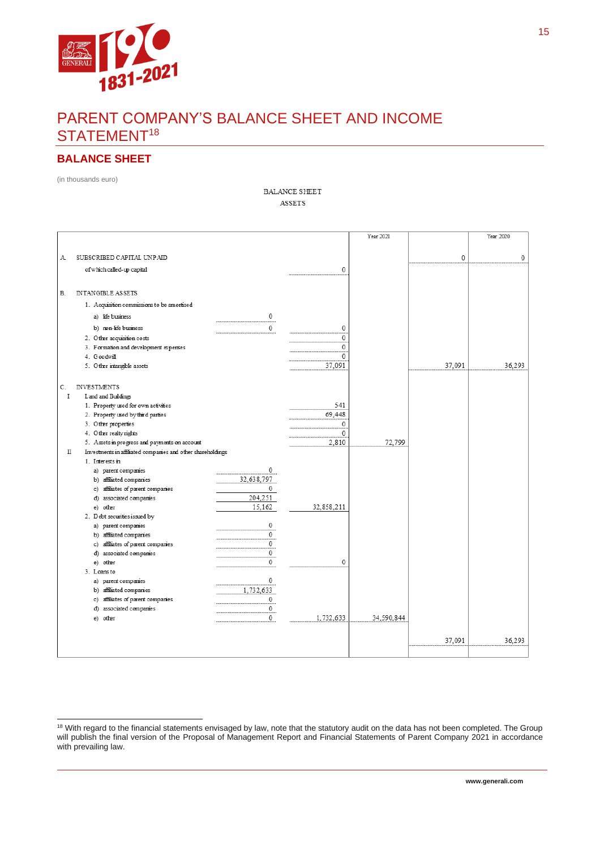

# PARENT COMPANY'S BALANCE SHEET AND INCOME STATEMENT<sup>18</sup>

#### **BALANCE SHEET**

(in thousands euro)

**BALANCE SHEET**  $\operatorname{\textbf{ASSETS}}$ 

|                                                                  |                |              | Year 2021  |             | Year 2020   |
|------------------------------------------------------------------|----------------|--------------|------------|-------------|-------------|
|                                                                  |                |              |            |             |             |
| SUBSCRIBED CAPITAL UNPAID<br>Α                                   |                |              |            | $\mathbf 0$ | $\mathbf 0$ |
| of which called-up capital                                       |                | 0            |            |             |             |
|                                                                  |                |              |            |             |             |
| <b>INTANGIBLE ASSETS</b><br>В.                                   |                |              |            |             |             |
|                                                                  |                |              |            |             |             |
| 1. Acquisition commissions to be amortised                       |                |              |            |             |             |
| a) life business                                                 | 0              |              |            |             |             |
| b) non-life business                                             | $\mathbf{0}$   | 0            |            |             |             |
| 2. Other acquisition costs                                       |                | 0            |            |             |             |
| 3. Formation and development expenses                            |                | $\mathbf 0$  |            |             |             |
| 4. Goodwill                                                      |                | 0            |            |             |             |
| 5. Other intangible assets                                       |                | 37,091       |            | 37,091      | 36.293      |
|                                                                  |                |              |            |             |             |
| C.<br><b>INVESTMENTS</b>                                         |                |              |            |             |             |
| $\mathbf I$<br>L and and Buildings                               |                | 541          |            |             |             |
| 1. Property used for own activities                              |                | 69,448       |            |             |             |
| 2. Property used by third parties<br>3. Other properties         |                | 0            |            |             |             |
| 4. Other realty rights                                           |                | 0            |            |             |             |
| 5. Assets in progress and payments on account                    |                | 2,810        | 72,799     |             |             |
| Investments in affiliated comparies and other shareholdings<br>П |                |              |            |             |             |
| 1. Interests in                                                  |                |              |            |             |             |
| a) parent companies                                              | 0              |              |            |             |             |
| b) affiliated companies                                          | 32,638,797     |              |            |             |             |
| c) affiliates of parent companies                                | 0              |              |            |             |             |
| d) associated companies                                          | 204,251        |              |            |             |             |
| e) other                                                         | 15,162         | 32, 858, 211 |            |             |             |
| 2. Debt securities issued by                                     |                |              |            |             |             |
| a) parent companies                                              | 0              |              |            |             |             |
| b) affiliated companies                                          | $\Omega$       |              |            |             |             |
| c) affiliates of parent companies                                | 0              |              |            |             |             |
| d) associated companies                                          | $\mathbf 0$    |              |            |             |             |
| e) other                                                         | 0              | 0            |            |             |             |
| 3. Loans to                                                      |                |              |            |             |             |
| a) parent companies                                              | 0              |              |            |             |             |
| b) affiliated companies                                          | 1,732,633<br>0 |              |            |             |             |
| c) affiliates of parent companies<br>d) associated companies     | 0              |              |            |             |             |
| e) other                                                         | 0              | 1,732,633    | 34,590,844 |             |             |
|                                                                  |                |              |            |             |             |
|                                                                  |                |              |            |             |             |
|                                                                  |                |              |            | 37.091      | 36.293      |
|                                                                  |                |              |            |             |             |

<sup>&</sup>lt;sup>18</sup> With regard to the financial statements envisaged by law, note that the statutory audit on the data has not been completed. The Group will publish the final version of the Proposal of Management Report and Financial Statements of Parent Company 2021 in accordance with prevailing law.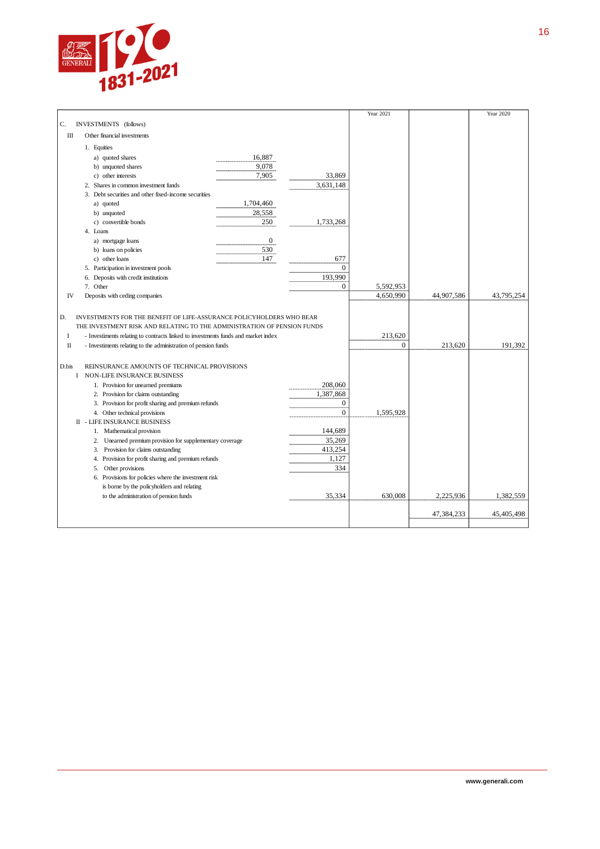

|                     |                                                                                                                                                                                                                                                                                                         |                  |                          | Year 2021               |            | Year 2020  |
|---------------------|---------------------------------------------------------------------------------------------------------------------------------------------------------------------------------------------------------------------------------------------------------------------------------------------------------|------------------|--------------------------|-------------------------|------------|------------|
| C.                  | INVESTMENTS (follows)                                                                                                                                                                                                                                                                                   |                  |                          |                         |            |            |
| Ш                   | Other financial investments                                                                                                                                                                                                                                                                             |                  |                          |                         |            |            |
|                     | 1. Equities                                                                                                                                                                                                                                                                                             |                  |                          |                         |            |            |
|                     | a) quoted shares                                                                                                                                                                                                                                                                                        | 16,887           |                          |                         |            |            |
|                     | b) unquoted shares                                                                                                                                                                                                                                                                                      | 9,078            |                          |                         |            |            |
|                     | c) other interests                                                                                                                                                                                                                                                                                      | 7,905            | 33,869                   |                         |            |            |
|                     | 2. Shares in common investment funds                                                                                                                                                                                                                                                                    |                  | 3,631,148                |                         |            |            |
|                     | 3. Debt securities and other fixed-income securities                                                                                                                                                                                                                                                    |                  |                          |                         |            |            |
|                     | a) quoted                                                                                                                                                                                                                                                                                               | 1,704,460        |                          |                         |            |            |
|                     | b) unquoted                                                                                                                                                                                                                                                                                             | 28,558           |                          |                         |            |            |
|                     | c) convertible bonds                                                                                                                                                                                                                                                                                    | 250              | 1,733,268                |                         |            |            |
|                     | 4. Loans                                                                                                                                                                                                                                                                                                |                  |                          |                         |            |            |
|                     | a) mortgage loans                                                                                                                                                                                                                                                                                       | $\boldsymbol{0}$ |                          |                         |            |            |
|                     | b) loans on policies                                                                                                                                                                                                                                                                                    | 530              |                          |                         |            |            |
|                     | c) other loans                                                                                                                                                                                                                                                                                          | 147              | 677                      |                         |            |            |
|                     | 5. Participation in investment pools                                                                                                                                                                                                                                                                    |                  | $\mathbf{0}$             |                         |            |            |
|                     | 6. Deposits with credit institutions                                                                                                                                                                                                                                                                    |                  | 193,990                  |                         |            |            |
|                     | 7. Other                                                                                                                                                                                                                                                                                                |                  | $\Omega$                 | 5,592,953               |            |            |
| IV                  | Deposits with ceding companies                                                                                                                                                                                                                                                                          |                  |                          | 4,650,990               | 44,907,586 | 43,795,254 |
| D.<br>I<br>$\rm II$ | INVESTIMENTS FOR THE BENEFIT OF LIFE-ASSURANCE POLICYHOLDERS WHO BEAR<br>THE INVESTMENT RISK AND RELATING TO THE ADMINISTRATION OF PENSION FUNDS<br>- Investiments relating to contracts linked to investments funds and market index<br>- Investiments relating to the administration of pension funds |                  |                          | 213.620<br>$\mathbf{0}$ | 213,620    | 191,392    |
| D.bis               | REINSURANCE AMOUNTS OF TECHNICAL PROVISIONS<br>I NON-LIFE INSURANCE BUSINESS                                                                                                                                                                                                                            |                  |                          |                         |            |            |
|                     | 1. Provision for unearned premiums                                                                                                                                                                                                                                                                      |                  | 208,060                  |                         |            |            |
|                     | 2. Provision for claims outstanding                                                                                                                                                                                                                                                                     |                  | 1,387,868                |                         |            |            |
|                     | 3. Provision for profit sharing and premium refunds                                                                                                                                                                                                                                                     |                  | $\mathbf{0}$<br>$\Omega$ |                         |            |            |
|                     | 4. Other technical provisions<br><b>II - LIFE INSURANCE BUSINESS</b>                                                                                                                                                                                                                                    |                  |                          | 1,595,928               |            |            |
|                     | 1. Mathematical provision                                                                                                                                                                                                                                                                               |                  | 144,689                  |                         |            |            |
|                     | Unearned premium provision for supplementary coverage<br>2.                                                                                                                                                                                                                                             |                  | 35,269                   |                         |            |            |
|                     | 3. Provision for claims outstanding                                                                                                                                                                                                                                                                     |                  | 413,254                  |                         |            |            |
|                     | 4. Provision for profit sharing and premium refunds                                                                                                                                                                                                                                                     |                  | 1,127                    |                         |            |            |
|                     | 5.<br>Other provisions                                                                                                                                                                                                                                                                                  |                  | 334                      |                         |            |            |
|                     | 6. Provisions for policies where the investment risk                                                                                                                                                                                                                                                    |                  |                          |                         |            |            |
|                     | is borne by the policyholders and relating                                                                                                                                                                                                                                                              |                  |                          |                         |            |            |
|                     | to the administration of pension funds                                                                                                                                                                                                                                                                  |                  | 35,334                   | 630,008                 | 2,225,936  | 1,382,559  |
|                     |                                                                                                                                                                                                                                                                                                         |                  |                          |                         |            |            |
|                     |                                                                                                                                                                                                                                                                                                         |                  |                          |                         | 47,384,233 | 45,405,498 |
|                     |                                                                                                                                                                                                                                                                                                         |                  |                          |                         |            |            |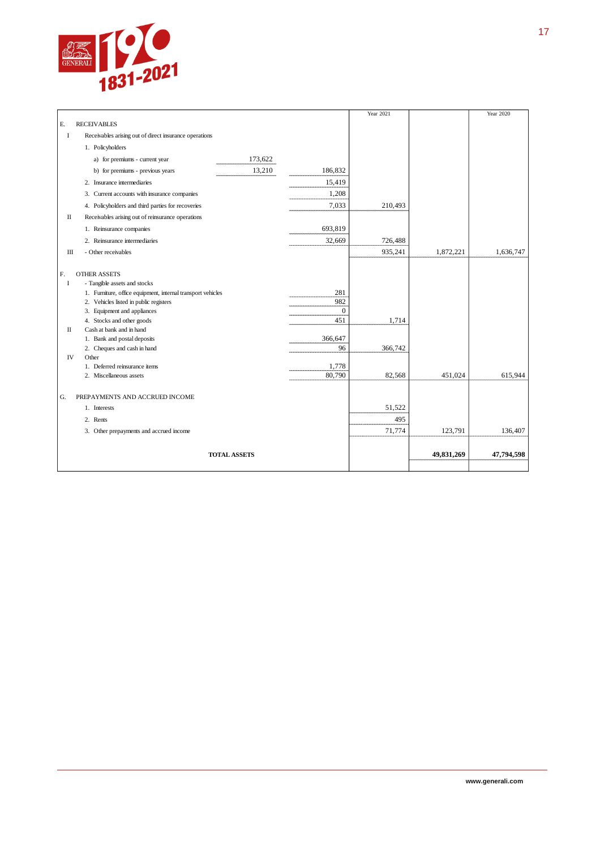

|    |                                                             |                     |                | Year 2021 |            | Year 2020  |
|----|-------------------------------------------------------------|---------------------|----------------|-----------|------------|------------|
| E. | <b>RECEIVABLES</b>                                          |                     |                |           |            |            |
| 1  | Receivables arising out of direct insurance operations      |                     |                |           |            |            |
|    | 1. Policyholders                                            |                     |                |           |            |            |
|    | a) for premiums - current year                              | 173,622             |                |           |            |            |
|    | b) for premiums - previous years                            | 13,210              | 186,832        |           |            |            |
|    | 2. Insurance intermediaries                                 |                     | 15,419         |           |            |            |
|    | 3. Current accounts with insurance companies                |                     | 1,208          |           |            |            |
|    | 4. Policyholders and third parties for recoveries           |                     | 7,033          | 210,493   |            |            |
| П  | Receivables arising out of reinsurance operations           |                     |                |           |            |            |
|    | 1. Reinsurance companies                                    |                     | 693,819        |           |            |            |
|    | 2. Reinsurance intermediaries                               |                     | 32,669         | 726,488   |            |            |
| Ш  | - Other receivables                                         |                     |                | 935,241   | 1,872,221  | 1,636,747  |
|    |                                                             |                     |                |           |            |            |
| F. | <b>OTHER ASSETS</b>                                         |                     |                |           |            |            |
| I  | - Tangible assets and stocks                                |                     |                |           |            |            |
|    | 1. Furniture, office equipment, internal transport vehicles |                     | 281            |           |            |            |
|    | 2. Vehicles listed in public registers                      |                     | 982            |           |            |            |
|    | 3. Equipment and appliances                                 |                     | $\overline{0}$ |           |            |            |
|    | 4. Stocks and other goods                                   |                     | 451            | 1,714     |            |            |
| П  | Cash at bank and in hand                                    |                     |                |           |            |            |
|    | 1. Bank and postal deposits                                 |                     | 366,647        |           |            |            |
|    | 2. Cheques and cash in hand                                 |                     | 96             | 366,742   |            |            |
| IV | Other                                                       |                     |                |           |            |            |
|    | 1. Deferred reinsurance items                               |                     | 1,778          |           |            |            |
|    | 2. Miscellaneous assets                                     |                     | 80,790         | 82,568    | 451,024    | 615,944    |
|    |                                                             |                     |                |           |            |            |
| G. | PREPAYMENTS AND ACCRUED INCOME                              |                     |                |           |            |            |
|    | 1. Interests                                                |                     |                | 51,522    |            |            |
|    | 2. Rents                                                    |                     |                | 495       |            |            |
|    | 3. Other prepayments and accrued income                     |                     |                | 71,774    | 123,791    | 136,407    |
|    |                                                             |                     |                |           |            |            |
|    |                                                             | <b>TOTAL ASSETS</b> |                |           | 49,831,269 | 47,794,598 |
|    |                                                             |                     |                |           |            |            |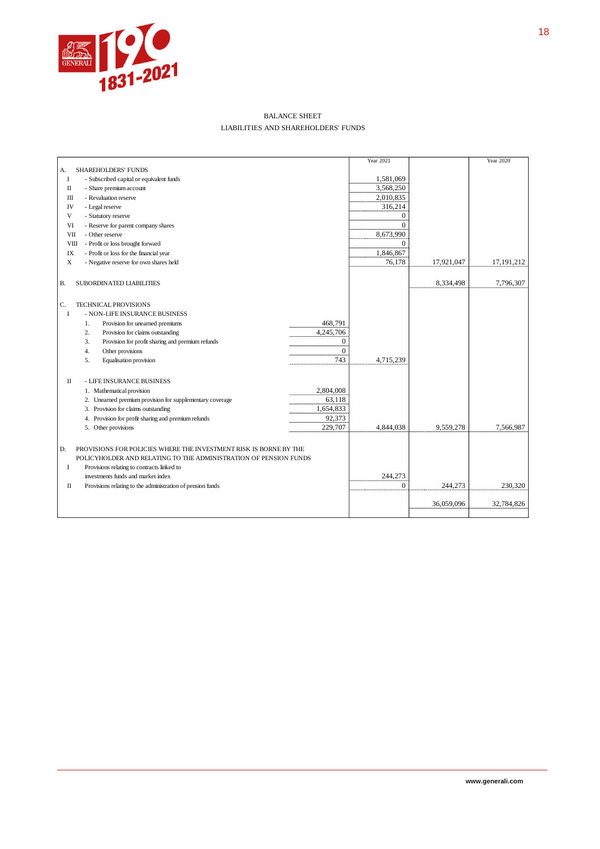

#### BALANCE SHEET LIABILITIES AND SHAREHOLDERS' FUNDS

|                                                                                    | Year 2021    |            | Year 2020    |
|------------------------------------------------------------------------------------|--------------|------------|--------------|
| <b>SHAREHOLDERS' FUNDS</b><br>А.                                                   |              |            |              |
| I<br>- Subscribed capital or equivalent funds                                      | 1,581,069    |            |              |
| П<br>- Share premium account                                                       | 3,568,250    |            |              |
| - Revaluation reserve<br>Ш                                                         | 2,010,835    |            |              |
| IV<br>- Legal reserve                                                              | 316,214      |            |              |
| V<br>- Statutory reserve                                                           | 0            |            |              |
| VI<br>- Reserve for parent company shares                                          | $\Omega$     |            |              |
| VII<br>- Other reserve                                                             | 8,673,990    |            |              |
| <b>VIII</b><br>- Profit or loss brought forward                                    | $\mathbf{0}$ |            |              |
| $\ensuremath{\text{IX}}\xspace$<br>- Profit or loss for the financial year         | 1,846,867    |            |              |
| $\mathbf X$<br>- Negative reserve for own shares held                              | 76,178       | 17,921,047 | 17, 191, 212 |
|                                                                                    |              |            |              |
| В.<br>SUBORDINATED LIABILITIES                                                     |              | 8,334,498  | 7,796,307    |
|                                                                                    |              |            |              |
| C.<br><b>TECHNICAL PROVISIONS</b>                                                  |              |            |              |
| - NON-LIFE INSURANCE BUSINESS<br>1                                                 |              |            |              |
| 468,791<br>Provision for unearned premiums<br>1.                                   |              |            |              |
| 4,245,706<br>2.<br>Provision for claims outstanding                                |              |            |              |
| 3.<br>Provision for profit sharing and premium refunds<br>$\boldsymbol{0}$         |              |            |              |
| $\Omega$<br>4.<br>Other provisions                                                 |              |            |              |
| 743<br>Equalisation provision<br>5.                                                | 4,715,239    |            |              |
|                                                                                    |              |            |              |
| $\scriptstyle\rm II$<br>- LIFE INSURANCE BUSINESS                                  |              |            |              |
| 2,804,008<br>1. Mathematical provision                                             |              |            |              |
| 63,118<br>2. Unearned premium provision for supplementary coverage                 |              |            |              |
| 3. Provision for claims outstanding<br>1,654,833                                   |              |            |              |
| 92,373<br>4. Provision for profit sharing and premium refunds                      |              |            |              |
| 229,707<br>5. Other provisions                                                     | 4,844,038    | 9.559.278  | 7,566,987    |
|                                                                                    |              |            |              |
| PROVISIONS FOR POLICIES WHERE THE INVESTMENT RISK IS BORNE BY THE<br>D.            |              |            |              |
| POLICYHOLDER AND RELATING TO THE ADMINISTRATION OF PENSION FUNDS                   |              |            |              |
| <b>I</b><br>Provisions relating to contracts linked to                             |              |            |              |
| investments funds and market index                                                 | 244,273      |            |              |
| $\scriptstyle\rm II$<br>Provisions relating to the administration of pension funds | $\theta$     | 244,273    | 230,320      |
|                                                                                    |              |            |              |
|                                                                                    |              | 36,059,096 | 32,784,826   |
|                                                                                    |              |            |              |
|                                                                                    |              |            |              |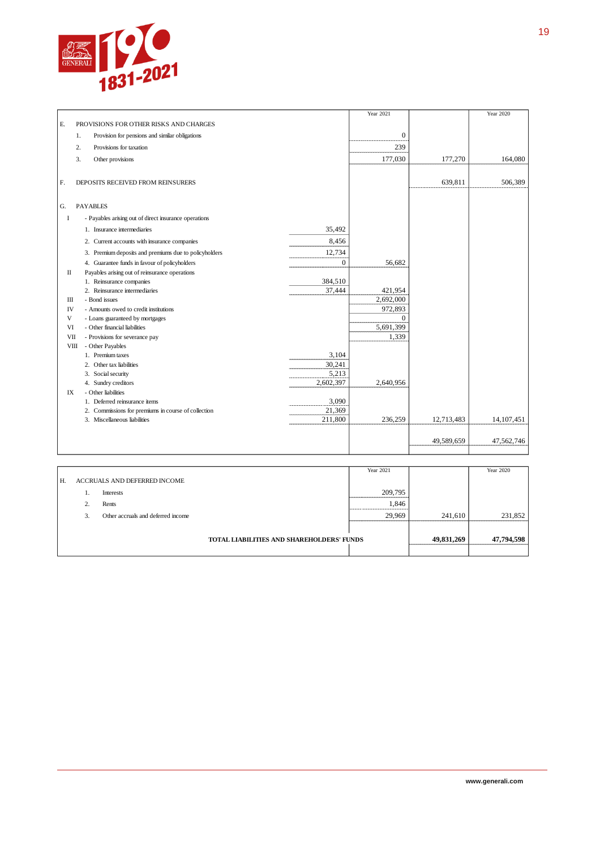

|             |                                                       |           | Year 2021    |            | Year 2020    |
|-------------|-------------------------------------------------------|-----------|--------------|------------|--------------|
| E.          | PROVISIONS FOR OTHER RISKS AND CHARGES                |           |              |            |              |
|             | 1.<br>Provision for pensions and similar obligations  |           | $\mathbf{0}$ |            |              |
|             | Provisions for taxation<br>2.                         |           | 239          |            |              |
|             | 3.<br>Other provisions                                |           | 177,030      | 177,270    | 164,080      |
|             |                                                       |           |              |            |              |
| F.          | DEPOSITS RECEIVED FROM REINSURERS                     |           |              | 639,811    | 506,389      |
|             |                                                       |           |              |            |              |
|             |                                                       |           |              |            |              |
| G.          | <b>PAYABLES</b>                                       |           |              |            |              |
| 1           | - Payables arising out of direct insurance operations |           |              |            |              |
|             | 1. Insurance intermediaries                           | 35.492    |              |            |              |
|             | 2. Current accounts with insurance companies          | 8.456     |              |            |              |
|             | 3. Premium deposits and premiums due to policyholders | 12,734    |              |            |              |
|             | 4. Guarantee funds in favour of policyholders         | $\theta$  | 56,682       |            |              |
| П           | Payables arising out of reinsurance operations        |           |              |            |              |
|             | 1. Reinsurance companies                              | 384,510   |              |            |              |
|             | 2. Reinsurance intermediaries                         | 37,444    | 421,954      |            |              |
| Ш           | - Bond issues                                         |           | 2,692,000    |            |              |
| IV          | - Amounts owed to credit institutions                 |           | 972,893      |            |              |
| V           | - Loans guaranteed by mortgages                       |           | $\Omega$     |            |              |
| VI          | - Other financial liabilities                         |           | 5,691,399    |            |              |
| VII         | - Provisions for severance pay                        |           | 1,339        |            |              |
| <b>VIII</b> | - Other Payables                                      |           |              |            |              |
|             | 1. Premium taxes                                      | 3,104     |              |            |              |
|             | 2. Other tax liabilities                              | 30,241    |              |            |              |
|             | 3. Social security                                    | 5,213     |              |            |              |
|             | 4. Sundry creditors                                   | 2,602,397 | 2,640,956    |            |              |
| IX          | - Other liabilities                                   |           |              |            |              |
|             | 1. Deferred reinsurance items                         | 3,090     |              |            |              |
|             | 2. Commissions for premiums in course of collection   | 21,369    |              |            |              |
|             | 3. Miscellaneous liabilities                          | 211,800   | 236,259      | 12,713,483 | 14, 107, 451 |
|             |                                                       |           |              |            |              |
|             |                                                       |           |              | 49,589,659 | 47,562,746   |
|             |                                                       |           |              |            |              |

|    |                |                                           | Year 2021 |            | Year 2020  |
|----|----------------|-------------------------------------------|-----------|------------|------------|
| Н. |                | ACCRUALS AND DEFERRED INCOME              |           |            |            |
|    |                | Interests                                 | 209,795   |            |            |
|    | $\gamma$<br>z. | Rents                                     | 1,846     |            |            |
|    | 3.             | Other accruals and deferred income        | 29.969    | 241,610    | 231,852    |
|    |                |                                           |           |            |            |
|    |                | TOTAL LIABILITIES AND SHAREHOLDERS' FUNDS |           | 49,831,269 | 47,794,598 |
|    |                |                                           |           |            |            |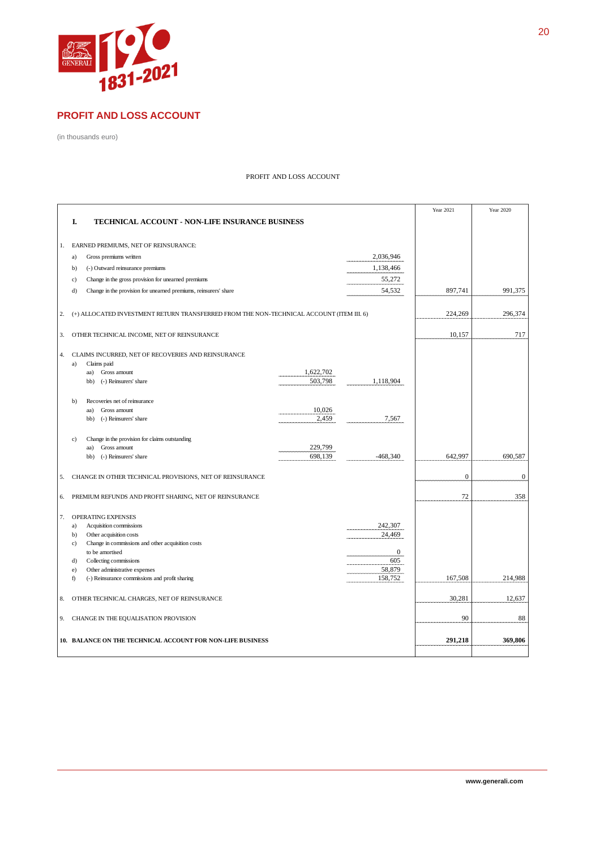

#### **PROFIT AND LOSS ACCOUNT**

(in thousands euro)

#### PROFIT AND LOSS ACCOUNT

|    |                                                                                          |                      |                   | Year 2021    | <b>Year 2020</b> |
|----|------------------------------------------------------------------------------------------|----------------------|-------------------|--------------|------------------|
|    | I.<br>TECHNICAL ACCOUNT - NON-LIFE INSURANCE BUSINESS                                    |                      |                   |              |                  |
|    |                                                                                          |                      |                   |              |                  |
| 1. | EARNED PREMIUMS, NET OF REINSURANCE:                                                     |                      |                   |              |                  |
|    | Gross premiums written<br>a)                                                             |                      | 2,036,946         |              |                  |
|    | (-) Outward reinsurance premiums<br>b)                                                   |                      | 1,138,466         |              |                  |
|    | Change in the gross provision for unearned premiums<br>$\mathbf{c}$                      |                      | 55,272            |              |                  |
|    | Change in the provision for unearned premiums, reinsurers' share<br>d)                   |                      | 54,532            | 897,741      | 991,375          |
|    |                                                                                          |                      |                   |              |                  |
| 2. | (+) ALLOCATED INVESTMENT RETURN TRANSFERRED FROM THE NON-TECHNICAL ACCOUNT (ITEM III. 6) |                      |                   | 224,269      | 296,374          |
|    |                                                                                          |                      |                   |              |                  |
| 3. | OTHER TECHNICAL INCOME, NET OF REINSURANCE                                               |                      |                   | 10,157       | 717              |
|    |                                                                                          |                      |                   |              |                  |
| 4. | CLAIMS INCURRED, NET OF RECOVERIES AND REINSURANCE                                       |                      |                   |              |                  |
|    | Claims paid<br>a)                                                                        |                      |                   |              |                  |
|    | Gross amount<br>aa)<br>(-) Reinsurers' share<br>bb)                                      | 1,622,702<br>503,798 | 1,118,904         |              |                  |
|    |                                                                                          |                      |                   |              |                  |
|    | Recoveries net of reinsurance<br>$b$                                                     |                      |                   |              |                  |
|    | Gross amount<br>aa)                                                                      | 10,026               |                   |              |                  |
|    | (-) Reinsurers' share<br>bb)                                                             | 2,459                | 7,567             |              |                  |
|    |                                                                                          |                      |                   |              |                  |
|    | Change in the provision for claims outstanding<br>c)<br>Gross amount<br>aa)              | 229,799              |                   |              |                  |
|    | (-) Reinsurers' share<br>bb)                                                             | 698,139              | $-468,340$        | 642,997      | 690,587          |
|    |                                                                                          |                      |                   |              |                  |
| 5. | CHANGE IN OTHER TECHNICAL PROVISIONS, NET OF REINSURANCE                                 |                      |                   | $\mathbf{0}$ | $\mathbf{0}$     |
|    |                                                                                          |                      |                   |              |                  |
| 6. | PREMIUM REFUNDS AND PROFIT SHARING, NET OF REINSURANCE                                   |                      |                   | 72           | 358              |
|    |                                                                                          |                      |                   |              |                  |
| 7. | <b>OPERATING EXPENSES</b>                                                                |                      |                   |              |                  |
|    | Acquisition commissions<br>a)<br>b)<br>Other acquisition costs                           |                      | 242,307<br>24,469 |              |                  |
|    | Change in commissions and other acquisition costs<br>c)                                  |                      |                   |              |                  |
|    | to be amortised                                                                          |                      | $\mathbf{0}$      |              |                  |
|    | Collecting commissions<br>d)                                                             |                      | 605               |              |                  |
|    | Other administrative expenses<br>$\epsilon$ )                                            |                      | 58,879            |              | 214,988          |
|    | f)<br>(-) Reinsurance commissions and profit sharing                                     |                      | 158,752           | 167,508      |                  |
| 8. | OTHER TECHNICAL CHARGES, NET OF REINSURANCE                                              |                      |                   | 30,281       | 12,637           |
|    |                                                                                          |                      |                   |              |                  |
| 9. | CHANGE IN THE EQUALISATION PROVISION                                                     |                      |                   | 90           | 88               |
|    |                                                                                          |                      |                   |              |                  |
|    | 10. BALANCE ON THE TECHNICAL ACCOUNT FOR NON-LIFE BUSINESS                               |                      |                   | 291,218      | 369,806          |
|    |                                                                                          |                      |                   |              |                  |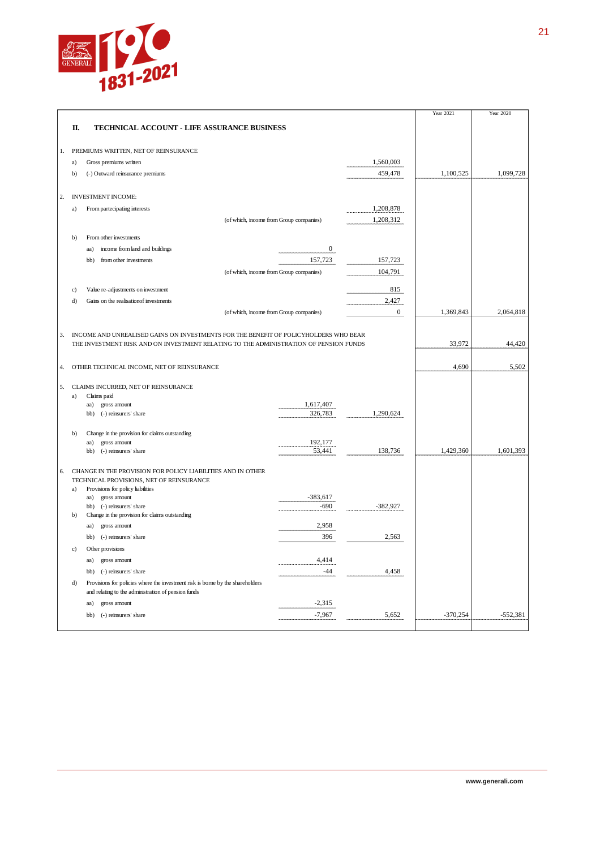

|    |    |                                                                                                                                       |                                         |              | Year 2021  | Year 2020  |
|----|----|---------------------------------------------------------------------------------------------------------------------------------------|-----------------------------------------|--------------|------------|------------|
|    | П. | <b>TECHNICAL ACCOUNT - LIFE ASSURANCE BUSINESS</b>                                                                                    |                                         |              |            |            |
| 1. |    | PREMIUMS WRITTEN, NET OF REINSURANCE                                                                                                  |                                         |              |            |            |
|    | a) | Gross premiums written                                                                                                                |                                         | 1,560,003    |            |            |
|    | b) | (-) Outward reinsurance premiums                                                                                                      |                                         | 459,478      | 1,100,525  | 1,099,728  |
| 2. |    | <b>INVESTMENT INCOME:</b>                                                                                                             |                                         |              |            |            |
|    | a) | From partecipating interests                                                                                                          |                                         | 1,208,878    |            |            |
|    |    |                                                                                                                                       | (of which, income from Group companies) | 1,208,312    |            |            |
|    | b) | From other investments                                                                                                                |                                         |              |            |            |
|    |    | income from land and buildings<br>aa)                                                                                                 | $\overline{0}$                          |              |            |            |
|    |    | from other investments<br>bb)                                                                                                         | 157,723                                 | 157,723      |            |            |
|    |    |                                                                                                                                       | (of which, income from Group companies) | 104,791      |            |            |
|    | c) | Value re-adjustments on investment                                                                                                    |                                         | 815          |            |            |
|    | d) | Gains on the realisation of investments                                                                                               |                                         | 2,427        |            |            |
|    |    |                                                                                                                                       | (of which, income from Group companies) | $\mathbf{0}$ | 1,369,843  | 2,064,818  |
| 3. |    | INCOME AND UNREALISED GAINS ON INVESTMENTS FOR THE BENEFIT OF POLICYHOLDERS WHO BEAR                                                  |                                         |              |            |            |
|    |    | THE INVESTMENT RISK AND ON INVESTMENT RELATING TO THE ADMINISTRATION OF PENSION FUNDS                                                 |                                         |              | 33,972     | 44,420     |
| 4. |    | OTHER TECHNICAL INCOME, NET OF REINSURANCE                                                                                            |                                         |              | 4,690      | 5,502      |
|    |    |                                                                                                                                       |                                         |              |            |            |
| 5. |    | CLAIMS INCURRED, NET OF REINSURANCE                                                                                                   |                                         |              |            |            |
|    | a) | Claims paid<br>aa)<br>gross amount                                                                                                    | 1,617,407                               |              |            |            |
|    |    | bb)<br>(-) reinsurers' share                                                                                                          | 326,783                                 | 1,290,624    |            |            |
|    | h) | Change in the provision for claims outstanding                                                                                        |                                         |              |            |            |
|    |    | gross amount<br>aa)                                                                                                                   | 192,177                                 |              |            |            |
|    |    | bb) (-) reinsurers' share                                                                                                             | 53,441                                  | 138,736      | 1,429,360  | 1,601,393  |
| 6. |    | CHANGE IN THE PROVISION FOR POLICY LIABILITIES AND IN OTHER                                                                           |                                         |              |            |            |
|    |    | TECHNICAL PROVISIONS, NET OF REINSURANCE                                                                                              |                                         |              |            |            |
|    | a) | Provisions for policy liabilities<br>aa)<br>gross amount                                                                              | $-383,617$                              |              |            |            |
|    |    | bb) (-) reinsurers' share                                                                                                             | -690                                    | -382,927     |            |            |
|    | b) | Change in the provision for claims outstanding                                                                                        |                                         |              |            |            |
|    |    | gross amount<br>aa)                                                                                                                   | 2,958                                   |              |            |            |
|    |    | (-) reinsurers' share<br>bb)                                                                                                          | 396                                     | 2,563        |            |            |
|    | c) | Other provisions                                                                                                                      |                                         |              |            |            |
|    |    | gross amount<br>aa)                                                                                                                   | 4,414                                   |              |            |            |
|    |    | (-) reinsurers' share<br>bb)                                                                                                          | $-44$                                   | 4,458        |            |            |
|    | d) | Provisions for policies where the investment risk is borne by the shareholders<br>and relating to the administration of pension funds |                                         |              |            |            |
|    |    | gross amount<br>aa)                                                                                                                   | $-2,315$                                |              |            |            |
|    |    | bb)<br>(-) reinsurers' share                                                                                                          | $-7,967$                                | 5,652        | $-370,254$ | $-552,381$ |
|    |    |                                                                                                                                       |                                         |              |            |            |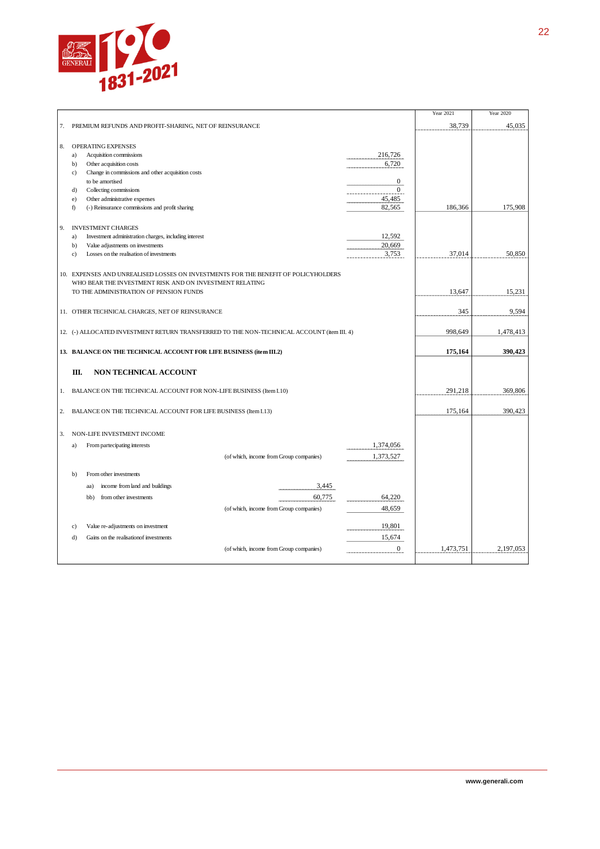

|    |                                                                                            | Year 2021 | Year 2020 |
|----|--------------------------------------------------------------------------------------------|-----------|-----------|
| 7. | PREMIUM REFUNDS AND PROFIT-SHARING, NET OF REINSURANCE                                     | 38,739    | 45,035    |
|    |                                                                                            |           |           |
| 8. | OPERATING EXPENSES                                                                         |           |           |
|    | 216,726<br>a)<br>Acquisition commissions                                                   |           |           |
|    | 6,720<br>b)<br>Other acquisition costs                                                     |           |           |
|    | Change in commissions and other acquisition costs<br>c)                                    |           |           |
|    | $\boldsymbol{0}$<br>to be amortised                                                        |           |           |
|    | $\overline{0}$<br>Collecting commissions<br>d)                                             |           |           |
|    | 45,485<br>Other administrative expenses<br>e)                                              |           |           |
|    | 82,565<br>f)<br>(-) Reinsurance commissions and profit sharing                             | 186,366   | 175,908   |
|    |                                                                                            |           |           |
| 9. | <b>INVESTMENT CHARGES</b>                                                                  |           |           |
|    | Investment administration charges, including interest<br>12,592<br>a)                      |           |           |
|    | 20,669<br>b)<br>Value adjustments on investments                                           |           |           |
|    | 3,753<br>Losses on the realisation of investments<br>$\mathbf{c}$                          | 37,014    | 50,850    |
|    |                                                                                            |           |           |
|    |                                                                                            |           |           |
|    | 10. EXPENSES AND UNREALISED LOSSES ON INVESTMENTS FOR THE BENEFIT OF POLICYHOLDERS         |           |           |
|    | WHO BEAR THE INVESTMENT RISK AND ON INVESTMENT RELATING                                    |           |           |
|    | TO THE ADMINISTRATION OF PENSION FUNDS                                                     | 13,647    | 15,231    |
|    |                                                                                            |           |           |
|    | 11. OTHER TECHNICAL CHARGES, NET OF REINSURANCE                                            | 345       | 9,594     |
|    |                                                                                            |           |           |
|    | 12. (-) ALLOCATED INVESTMENT RETURN TRANSFERRED TO THE NON-TECHNICAL ACCOUNT (item III. 4) | 998,649   | 1,478,413 |
|    |                                                                                            |           |           |
|    | 13. BALANCE ON THE TECHNICAL ACCOUNT FOR LIFE BUSINESS (item III.2)                        | 175,164   | 390,423   |
|    |                                                                                            |           |           |
|    | Ш.<br>NON TECHNICAL ACCOUNT                                                                |           |           |
|    |                                                                                            |           |           |
| 1. | BALANCE ON THE TECHNICAL ACCOUNT FOR NON-LIFE BUSINESS (Item I.10)                         | 291,218   | 369,806   |
|    |                                                                                            |           |           |
|    |                                                                                            |           |           |
| 2. | BALANCE ON THE TECHNICAL ACCOUNT FOR LIFE BUSINESS (Item I.13)                             | 175,164   | 390,423   |
|    |                                                                                            |           |           |
| 3. | NON-LIFE INVESTMENT INCOME                                                                 |           |           |
|    | 1,374,056<br>From partecipating interests<br>a)                                            |           |           |
|    |                                                                                            |           |           |
|    | 1,373,527<br>(of which, income from Group companies)                                       |           |           |
|    |                                                                                            |           |           |
|    | From other investments<br>$\mathbf{b}$                                                     |           |           |
|    | 3,445<br>income from land and buildings<br>aa)                                             |           |           |
|    | 60,775<br>64,220<br>bb)<br>from other investments                                          |           |           |
|    | 48,659<br>(of which, income from Group companies)                                          |           |           |
|    |                                                                                            |           |           |
|    | Value re-adjustments on investment<br>19,801<br>c)                                         |           |           |
|    |                                                                                            |           |           |
|    | 15,674<br>d)<br>Gains on the realisation of investments                                    |           |           |
|    | $\overline{0}$<br>(of which, income from Group companies)                                  | 1,473,751 | 2,197,053 |
|    |                                                                                            |           |           |